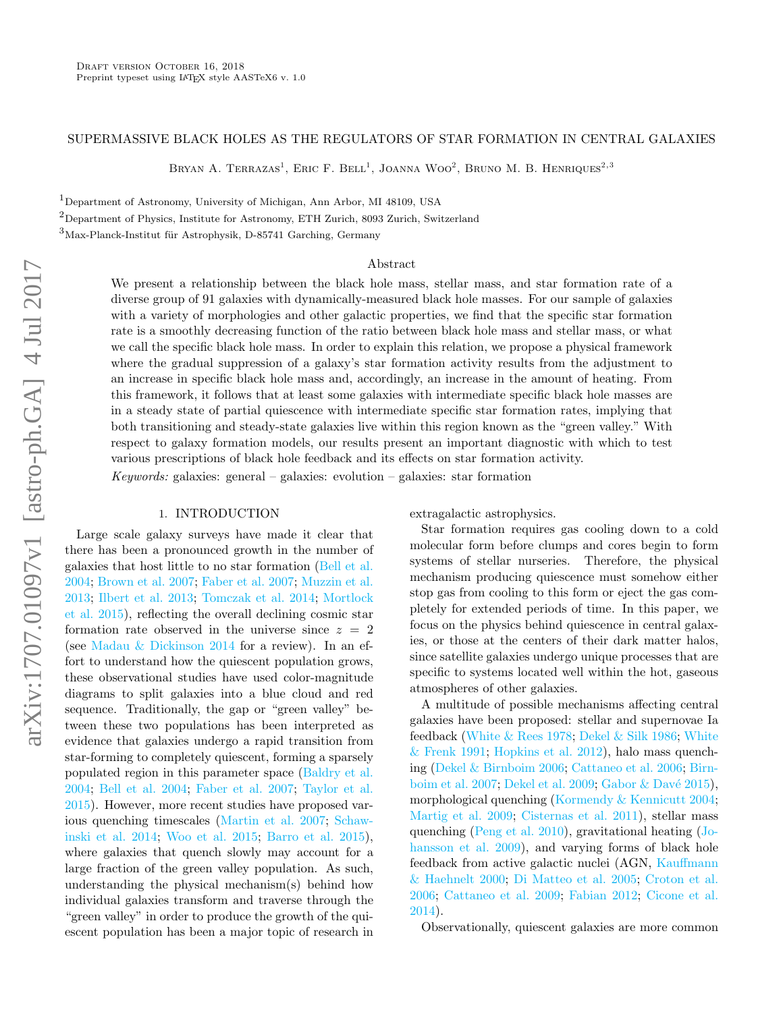# SUPERMASSIVE BLACK HOLES AS THE REGULATORS OF STAR FORMATION IN CENTRAL GALAXIES

Bryan A. Terrazas<sup>1</sup>, Eric F. Bell<sup>1</sup>, Joanna Woo<sup>2</sup>, Bruno M. B. Henriques<sup>2,3</sup>

<sup>1</sup>Department of Astronomy, University of Michigan, Ann Arbor, MI 48109, USA

<sup>2</sup>Department of Physics, Institute for Astronomy, ETH Zurich, 8093 Zurich, Switzerland

 $3$ Max-Planck-Institut für Astrophysik, D-85741 Garching, Germany

### Abstract

We present a relationship between the black hole mass, stellar mass, and star formation rate of a diverse group of 91 galaxies with dynamically-measured black hole masses. For our sample of galaxies with a variety of morphologies and other galactic properties, we find that the specific star formation rate is a smoothly decreasing function of the ratio between black hole mass and stellar mass, or what we call the specific black hole mass. In order to explain this relation, we propose a physical framework where the gradual suppression of a galaxy's star formation activity results from the adjustment to an increase in specific black hole mass and, accordingly, an increase in the amount of heating. From this framework, it follows that at least some galaxies with intermediate specific black hole masses are in a steady state of partial quiescence with intermediate specific star formation rates, implying that both transitioning and steady-state galaxies live within this region known as the "green valley." With respect to galaxy formation models, our results present an important diagnostic with which to test various prescriptions of black hole feedback and its effects on star formation activity.

Keywords: galaxies: general – galaxies: evolution – galaxies: star formation

# 1. INTRODUCTION

Large scale galaxy surveys have made it clear that there has been a pronounced growth in the number of galaxies that host little to no star formation [\(Bell et al.](#page-8-0) [2004;](#page-8-0) [Brown et al.](#page-8-1) [2007;](#page-8-1) [Faber et al.](#page-8-2) [2007;](#page-8-2) [Muzzin et al.](#page-9-0) [2013;](#page-9-0) [Ilbert et al.](#page-8-3) [2013;](#page-8-3) [Tomczak et al.](#page-9-1) [2014;](#page-9-1) [Mortlock](#page-9-2) [et al.](#page-9-2) [2015\)](#page-9-2), reflecting the overall declining cosmic star formation rate observed in the universe since  $z = 2$ (see [Madau & Dickinson](#page-9-3) [2014](#page-9-3) for a review). In an effort to understand how the quiescent population grows, these observational studies have used color-magnitude diagrams to split galaxies into a blue cloud and red sequence. Traditionally, the gap or "green valley" between these two populations has been interpreted as evidence that galaxies undergo a rapid transition from star-forming to completely quiescent, forming a sparsely populated region in this parameter space [\(Baldry et al.](#page-8-4) [2004;](#page-8-4) [Bell et al.](#page-8-0) [2004;](#page-8-0) [Faber et al.](#page-8-2) [2007;](#page-8-2) [Taylor et al.](#page-9-4) [2015\)](#page-9-4). However, more recent studies have proposed various quenching timescales [\(Martin et al.](#page-9-5) [2007;](#page-9-5) [Schaw](#page-9-6)[inski et al.](#page-9-6) [2014;](#page-9-6) [Woo et al.](#page-9-7) [2015;](#page-9-7) [Barro et al.](#page-8-5) [2015\)](#page-8-5), where galaxies that quench slowly may account for a large fraction of the green valley population. As such, understanding the physical mechanism(s) behind how individual galaxies transform and traverse through the "green valley" in order to produce the growth of the quiescent population has been a major topic of research in

extragalactic astrophysics.

Star formation requires gas cooling down to a cold molecular form before clumps and cores begin to form systems of stellar nurseries. Therefore, the physical mechanism producing quiescence must somehow either stop gas from cooling to this form or eject the gas completely for extended periods of time. In this paper, we focus on the physics behind quiescence in central galaxies, or those at the centers of their dark matter halos, since satellite galaxies undergo unique processes that are specific to systems located well within the hot, gaseous atmospheres of other galaxies.

A multitude of possible mechanisms affecting central galaxies have been proposed: stellar and supernovae Ia feedback [\(White & Rees](#page-9-8) [1978;](#page-9-8) [Dekel & Silk](#page-8-6) [1986;](#page-8-6) [White](#page-9-9) [& Frenk](#page-9-9) [1991;](#page-9-9) [Hopkins et al.](#page-8-7) [2012\)](#page-8-7), halo mass quenching [\(Dekel & Birnboim](#page-8-8) [2006;](#page-8-8) [Cattaneo et al.](#page-8-9) [2006;](#page-8-9) [Birn](#page-8-10)[boim et al.](#page-8-10) [2007;](#page-8-10) [Dekel et al.](#page-8-11) [2009;](#page-8-11) Gabor & Davé [2015\)](#page-8-12), morphological quenching [\(Kormendy & Kennicutt](#page-8-13) [2004;](#page-8-13) [Martig et al.](#page-9-10) [2009;](#page-9-10) [Cisternas et al.](#page-8-14) [2011\)](#page-8-14), stellar mass quenching [\(Peng et al.](#page-9-11) [2010\)](#page-9-11), gravitational heating [\(Jo](#page-8-15)[hansson et al.](#page-8-15) [2009\)](#page-8-15), and varying forms of black hole feedback from active galactic nuclei (AGN, [Kauffmann](#page-8-16) [& Haehnelt](#page-8-16) [2000;](#page-8-16) [Di Matteo et al.](#page-8-17) [2005;](#page-8-17) [Croton et al.](#page-8-18) [2006;](#page-8-18) [Cattaneo et al.](#page-8-19) [2009;](#page-8-19) [Fabian](#page-8-20) [2012;](#page-8-20) [Cicone et al.](#page-8-21) [2014\)](#page-8-21).

Observationally, quiescent galaxies are more common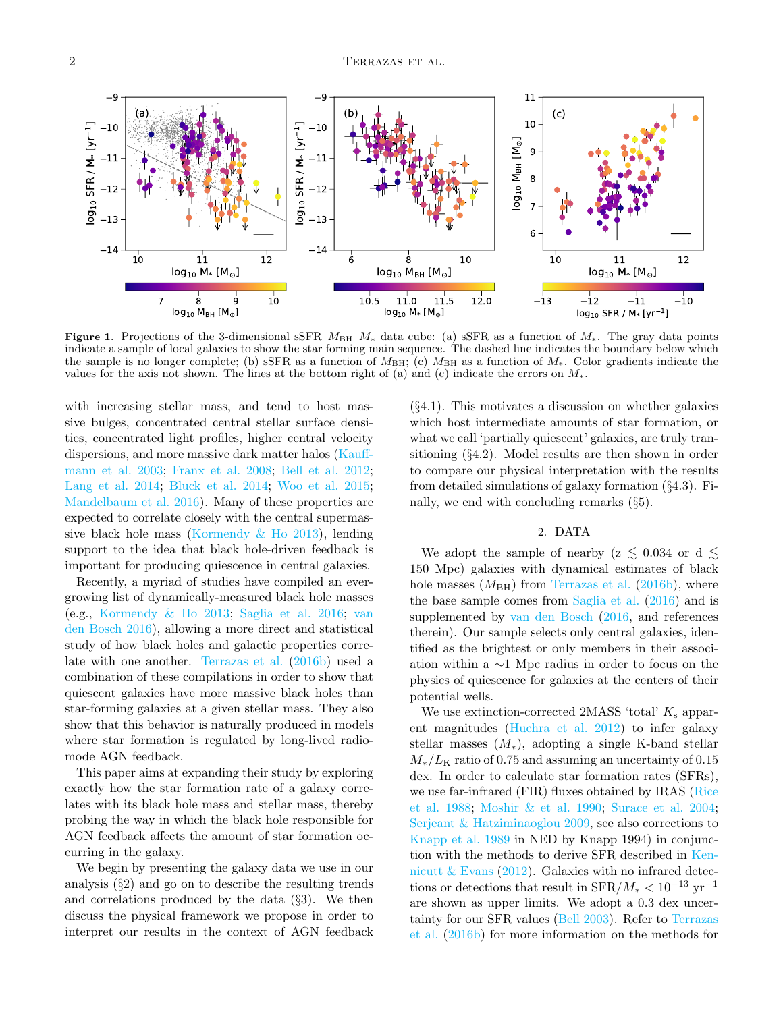

<span id="page-1-0"></span>Figure 1. Projections of the 3-dimensional sSFR– $M_{\text{BH}}-M_*$  data cube: (a) sSFR as a function of  $M_*$ . The gray data points indicate a sample of local galaxies to show the star forming main sequence. The dashed line indicates the boundary below which the sample is no longer complete; (b) sSFR as a function of  $M_{\rm BH}$ ; (c)  $M_{\rm BH}$  as a function of  $M_*$ . Color gradients indicate the values for the axis not shown. The lines at the bottom right of (a) and (c) indicate the errors on  $M_*$ .

with increasing stellar mass, and tend to host massive bulges, concentrated central stellar surface densities, concentrated light profiles, higher central velocity dispersions, and more massive dark matter halos [\(Kauff](#page-8-22)[mann et al.](#page-8-22) [2003;](#page-8-22) [Franx et al.](#page-8-23) [2008;](#page-8-23) [Bell et al.](#page-8-24) [2012;](#page-8-24) [Lang et al.](#page-9-12) [2014;](#page-9-12) [Bluck et al.](#page-8-25) [2014;](#page-8-25) [Woo et al.](#page-9-7) [2015;](#page-9-7) [Mandelbaum et al.](#page-9-13) [2016\)](#page-9-13). Many of these properties are expected to correlate closely with the central supermassive black hole mass [\(Kormendy & Ho](#page-8-26) [2013\)](#page-8-26), lending support to the idea that black hole-driven feedback is important for producing quiescence in central galaxies.

Recently, a myriad of studies have compiled an evergrowing list of dynamically-measured black hole masses (e.g., [Kormendy & Ho](#page-8-26) [2013;](#page-8-26) [Saglia et al.](#page-9-14) [2016;](#page-9-14) [van](#page-9-15) [den Bosch](#page-9-15) [2016\)](#page-9-15), allowing a more direct and statistical study of how black holes and galactic properties correlate with one another. [Terrazas et al.](#page-9-16) [\(2016b\)](#page-9-16) used a combination of these compilations in order to show that quiescent galaxies have more massive black holes than star-forming galaxies at a given stellar mass. They also show that this behavior is naturally produced in models where star formation is regulated by long-lived radiomode AGN feedback.

This paper aims at expanding their study by exploring exactly how the star formation rate of a galaxy correlates with its black hole mass and stellar mass, thereby probing the way in which the black hole responsible for AGN feedback affects the amount of star formation occurring in the galaxy.

We begin by presenting the galaxy data we use in our analysis (§2) and go on to describe the resulting trends and correlations produced by the data  $(\S3)$ . We then discuss the physical framework we propose in order to interpret our results in the context of AGN feedback

(§4.1). This motivates a discussion on whether galaxies which host intermediate amounts of star formation, or what we call 'partially quiescent' galaxies, are truly transitioning (§4.2). Model results are then shown in order to compare our physical interpretation with the results from detailed simulations of galaxy formation (§4.3). Finally, we end with concluding remarks (§5).

## 2. DATA

We adopt the sample of nearby ( $z \lesssim 0.034$  or d  $\lesssim$ 150 Mpc) galaxies with dynamical estimates of black hole masses  $(M_{BH})$  from [Terrazas et al.](#page-9-16) [\(2016b\)](#page-9-16), where the base sample comes from [Saglia et al.](#page-9-14) [\(2016\)](#page-9-14) and is supplemented by [van den Bosch](#page-9-15) [\(2016,](#page-9-15) and references therein). Our sample selects only central galaxies, identified as the brightest or only members in their association within a ∼1 Mpc radius in order to focus on the physics of quiescence for galaxies at the centers of their potential wells.

We use extinction-corrected 2MASS 'total'  $K_s$  apparent magnitudes [\(Huchra et al.](#page-8-27) [2012\)](#page-8-27) to infer galaxy stellar masses  $(M_*)$ , adopting a single K-band stellar  $M_*/L_{\rm K}$  ratio of 0.75 and assuming an uncertainty of 0.15 dex. In order to calculate star formation rates (SFRs), we use far-infrared (FIR) fluxes obtained by IRAS [\(Rice](#page-9-17) [et al.](#page-9-17) [1988;](#page-9-17) [Moshir & et al.](#page-9-18) [1990;](#page-9-18) [Surace et al.](#page-9-19) [2004;](#page-9-19) [Serjeant & Hatziminaoglou](#page-9-20) [2009,](#page-9-20) see also corrections to [Knapp et al.](#page-8-28) [1989](#page-8-28) in NED by Knapp 1994) in conjunction with the methods to derive SFR described in [Ken](#page-8-29)nicutt  $&$  Evans [\(2012\)](#page-8-29). Galaxies with no infrared detections or detections that result in  $SFR/M_* < 10^{-13}$  yr<sup>-1</sup> are shown as upper limits. We adopt a 0.3 dex uncertainty for our SFR values [\(Bell](#page-8-30) [2003\)](#page-8-30). Refer to [Terrazas](#page-9-16) [et al.](#page-9-16) [\(2016b\)](#page-9-16) for more information on the methods for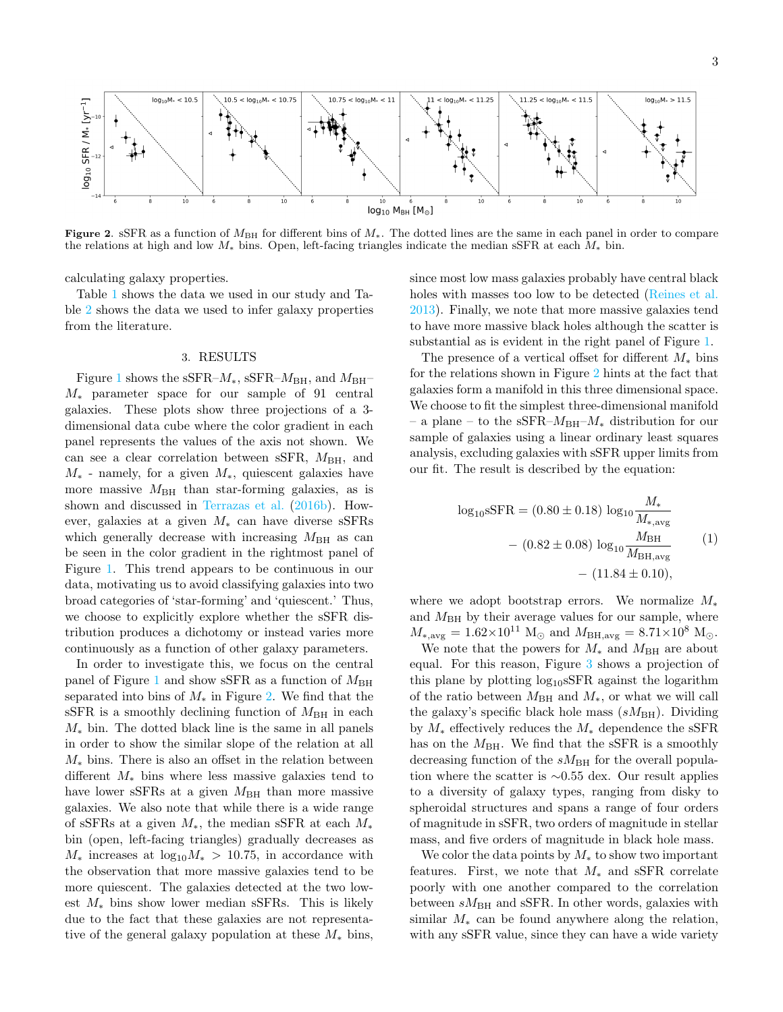

<span id="page-2-0"></span>Figure 2. sSFR as a function of  $M_{\text{BH}}$  for different bins of  $M_*$ . The dotted lines are the same in each panel in order to compare the relations at high and low  $M_*$  bins. Open, left-facing triangles indicate the median sSFR at each  $M_*$  bin.

calculating galaxy properties.

Table [1](#page-7-0) shows the data we used in our study and Table [2](#page-10-0) shows the data we used to infer galaxy properties from the literature.

## 3. RESULTS

<span id="page-2-1"></span>Figure [1](#page-1-0) shows the sSFR– $M_*$ , sSFR– $M_{\rm BH}$ , and  $M_{\rm BH}$ – M<sup>∗</sup> parameter space for our sample of 91 central galaxies. These plots show three projections of a 3 dimensional data cube where the color gradient in each panel represents the values of the axis not shown. We can see a clear correlation between sSFR,  $M_{\text{BH}}$ , and  $M_*$  - namely, for a given  $M_*$ , quiescent galaxies have more massive  $M_{\rm BH}$  than star-forming galaxies, as is shown and discussed in [Terrazas et al.](#page-9-16) [\(2016b\)](#page-9-16). However, galaxies at a given  $M_*$  can have diverse sSFRs which generally decrease with increasing  $M_{\rm BH}$  as can be seen in the color gradient in the rightmost panel of Figure [1.](#page-1-0) This trend appears to be continuous in our data, motivating us to avoid classifying galaxies into two broad categories of 'star-forming' and 'quiescent.' Thus, we choose to explicitly explore whether the sSFR distribution produces a dichotomy or instead varies more continuously as a function of other galaxy parameters.

In order to investigate this, we focus on the central panel of Figure [1](#page-1-0) and show sSFR as a function of  $M_{\rm BH}$ separated into bins of  $M_*$  in Figure [2.](#page-2-0) We find that the sSFR is a smoothly declining function of  $M_{\rm BH}$  in each  $M_*$  bin. The dotted black line is the same in all panels in order to show the similar slope of the relation at all  $M_*$  bins. There is also an offset in the relation between different  $M_*$  bins where less massive galaxies tend to have lower sSFRs at a given  $M_{\rm BH}$  than more massive galaxies. We also note that while there is a wide range of sSFRs at a given  $M_*$ , the median sSFR at each  $M_*$ bin (open, left-facing triangles) gradually decreases as  $M_*$  increases at  $\log_{10} M_* > 10.75$ , in accordance with the observation that more massive galaxies tend to be more quiescent. The galaxies detected at the two lowest  $M_*$  bins show lower median sSFRs. This is likely due to the fact that these galaxies are not representative of the general galaxy population at these  $M_*$  bins,

since most low mass galaxies probably have central black holes with masses too low to be detected [\(Reines et al.](#page-9-21) [2013\)](#page-9-21). Finally, we note that more massive galaxies tend to have more massive black holes although the scatter is substantial as is evident in the right panel of Figure [1.](#page-1-0)

The presence of a vertical offset for different  $M_*$  bins for the relations shown in Figure [2](#page-2-0) hints at the fact that galaxies form a manifold in this three dimensional space. We choose to fit the simplest three-dimensional manifold – a plane – to the sSFR– $M_{\rm BH}$ – $M_*$  distribution for our sample of galaxies using a linear ordinary least squares analysis, excluding galaxies with sSFR upper limits from our fit. The result is described by the equation:

$$
log_{10} sSFR = (0.80 \pm 0.18) log_{10} \frac{M_{*}}{M_{*,avg}}
$$

$$
- (0.82 \pm 0.08) log_{10} \frac{M_{BH}}{M_{BH,avg}}
$$

$$
- (11.84 \pm 0.10),
$$
 (1)

where we adopt bootstrap errors. We normalize  $M_*$ and  $M_{BH}$  by their average values for our sample, where  $M_{*,\text{avg}} = 1.62 \times 10^{11} \text{ M}_{\odot}$  and  $M_{\text{BH,avg}} = 8.71 \times 10^8 \text{ M}_{\odot}$ .

We note that the powers for  $M_*$  and  $M_{\rm BH}$  are about equal. For this reason, Figure [3](#page-3-0) shows a projection of this plane by plotting  $\log_{10}$ SFR against the logarithm of the ratio between  $M_{\rm BH}$  and  $M_*$ , or what we will call the galaxy's specific black hole mass  $(sM_{\rm BH})$ . Dividing by  $M_*$  effectively reduces the  $M_*$  dependence the sSFR has on the  $M_{\rm BH}$ . We find that the sSFR is a smoothly decreasing function of the  $sM_{\text{BH}}$  for the overall population where the scatter is ∼0.55 dex. Our result applies to a diversity of galaxy types, ranging from disky to spheroidal structures and spans a range of four orders of magnitude in sSFR, two orders of magnitude in stellar mass, and five orders of magnitude in black hole mass.

We color the data points by  $M_*$  to show two important features. First, we note that  $M_*$  and sSFR correlate poorly with one another compared to the correlation between  $sM_{\rm BH}$  and sSFR. In other words, galaxies with similar  $M_*$  can be found anywhere along the relation, with any sSFR value, since they can have a wide variety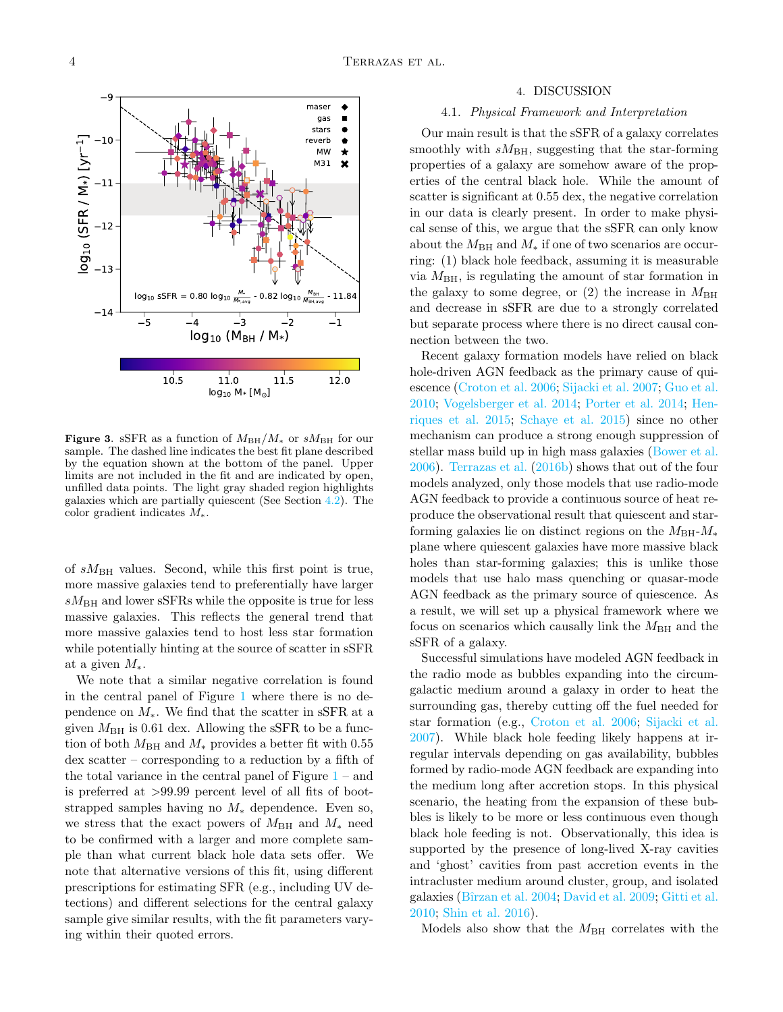

<span id="page-3-0"></span>Figure 3. sSFR as a function of  $M_{BH}/M_*$  or  $sM_{BH}$  for our sample. The dashed line indicates the best fit plane described by the equation shown at the bottom of the panel. Upper limits are not included in the fit and are indicated by open, unfilled data points. The light gray shaded region highlights galaxies which are partially quiescent (See Section [4.2\)](#page-4-0). The color gradient indicates M∗.

of  $sM_{\text{BH}}$  values. Second, while this first point is true, more massive galaxies tend to preferentially have larger  $sM_{\rm BH}$  and lower sSFRs while the opposite is true for less massive galaxies. This reflects the general trend that more massive galaxies tend to host less star formation while potentially hinting at the source of scatter in sSFR at a given  $M_*$ .

We note that a similar negative correlation is found in the central panel of Figure [1](#page-1-0) where there is no dependence on  $M_*$ . We find that the scatter in sSFR at a given  $M_{\rm BH}$  is 0.61 dex. Allowing the sSFR to be a function of both  $M_{\rm BH}$  and  $M_*$  provides a better fit with 0.55 dex scatter – corresponding to a reduction by a fifth of the total variance in the central panel of Figure  $1 1 -$  and is preferred at >99.99 percent level of all fits of bootstrapped samples having no  $M_*$  dependence. Even so, we stress that the exact powers of  $M_{\rm BH}$  and  $M_*$  need to be confirmed with a larger and more complete sample than what current black hole data sets offer. We note that alternative versions of this fit, using different prescriptions for estimating SFR (e.g., including UV detections) and different selections for the central galaxy sample give similar results, with the fit parameters varying within their quoted errors.

#### 4. DISCUSSION

## 4.1. Physical Framework and Interpretation

Our main result is that the sSFR of a galaxy correlates smoothly with  $sM_{\text{BH}}$ , suggesting that the star-forming properties of a galaxy are somehow aware of the properties of the central black hole. While the amount of scatter is significant at 0.55 dex, the negative correlation in our data is clearly present. In order to make physical sense of this, we argue that the sSFR can only know about the  $M_{\rm BH}$  and  $M_*$  if one of two scenarios are occurring: (1) black hole feedback, assuming it is measurable via  $M_{\rm BH}$ , is regulating the amount of star formation in the galaxy to some degree, or  $(2)$  the increase in  $M_{\rm BH}$ and decrease in sSFR are due to a strongly correlated but separate process where there is no direct causal connection between the two.

Recent galaxy formation models have relied on black hole-driven AGN feedback as the primary cause of quiescence [\(Croton et al.](#page-8-18) [2006;](#page-8-18) [Sijacki et al.](#page-9-22) [2007;](#page-9-22) [Guo et al.](#page-8-31) [2010;](#page-8-31) [Vogelsberger et al.](#page-9-23) [2014;](#page-9-23) [Porter et al.](#page-9-24) [2014;](#page-9-24) [Hen](#page-8-32)[riques et al.](#page-8-32) [2015;](#page-8-32) [Schaye et al.](#page-9-25) [2015\)](#page-9-25) since no other mechanism can produce a strong enough suppression of stellar mass build up in high mass galaxies [\(Bower et al.](#page-8-33) [2006\)](#page-8-33). [Terrazas et al.](#page-9-16) [\(2016b\)](#page-9-16) shows that out of the four models analyzed, only those models that use radio-mode AGN feedback to provide a continuous source of heat reproduce the observational result that quiescent and starforming galaxies lie on distinct regions on the  $M_{\rm BH}$ - $M_*$ plane where quiescent galaxies have more massive black holes than star-forming galaxies; this is unlike those models that use halo mass quenching or quasar-mode AGN feedback as the primary source of quiescence. As a result, we will set up a physical framework where we focus on scenarios which causally link the  $M_{\rm BH}$  and the sSFR of a galaxy.

Successful simulations have modeled AGN feedback in the radio mode as bubbles expanding into the circumgalactic medium around a galaxy in order to heat the surrounding gas, thereby cutting off the fuel needed for star formation (e.g., [Croton et al.](#page-8-18) [2006;](#page-8-18) [Sijacki et al.](#page-9-22) [2007\)](#page-9-22). While black hole feeding likely happens at irregular intervals depending on gas availability, bubbles formed by radio-mode AGN feedback are expanding into the medium long after accretion stops. In this physical scenario, the heating from the expansion of these bubbles is likely to be more or less continuous even though black hole feeding is not. Observationally, this idea is supported by the presence of long-lived X-ray cavities and 'ghost' cavities from past accretion events in the intracluster medium around cluster, group, and isolated galaxies [\(Bˆırzan et al.](#page-8-34) [2004;](#page-8-34) [David et al.](#page-8-35) [2009;](#page-8-35) [Gitti et al.](#page-8-36) [2010;](#page-8-36) [Shin et al.](#page-9-26) [2016\)](#page-9-26).

Models also show that the  $M_{\text{BH}}$  correlates with the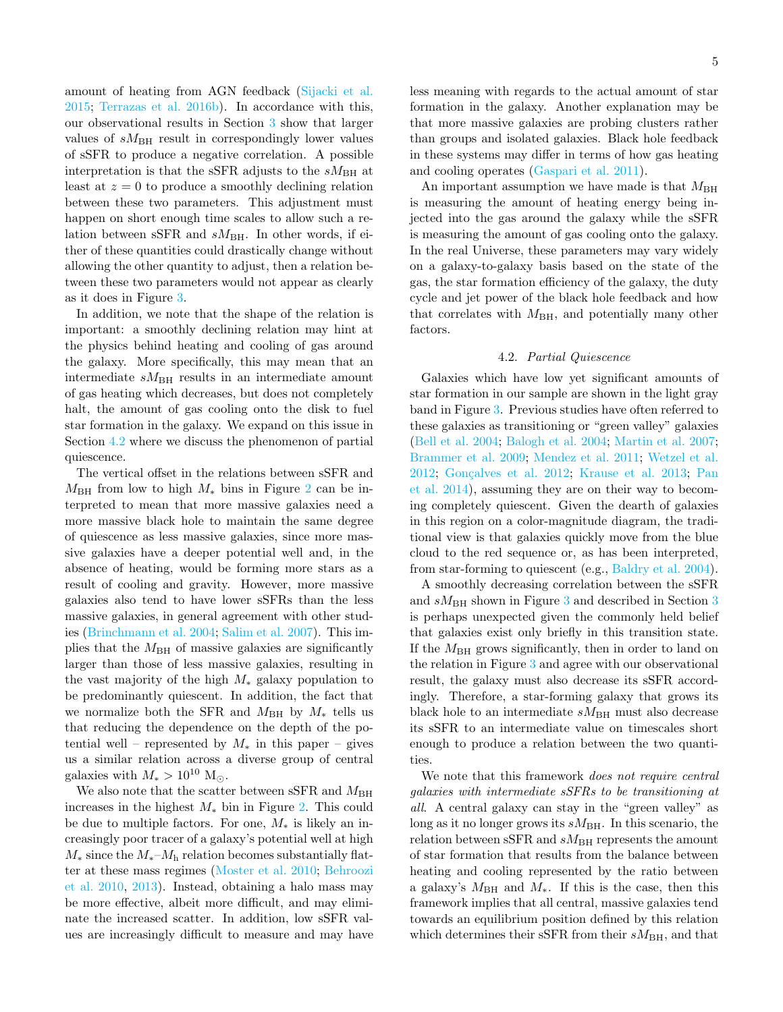amount of heating from AGN feedback [\(Sijacki et al.](#page-9-27) [2015;](#page-9-27) [Terrazas et al.](#page-9-16) [2016b\)](#page-9-16). In accordance with this, our observational results in Section [3](#page-2-1) show that larger values of  $sM_{\text{BH}}$  result in correspondingly lower values of sSFR to produce a negative correlation. A possible interpretation is that the sSFR adjusts to the  $sM_{\rm BH}$  at least at  $z = 0$  to produce a smoothly declining relation between these two parameters. This adjustment must happen on short enough time scales to allow such a relation between sSFR and  $sM_{\text{BH}}$ . In other words, if either of these quantities could drastically change without allowing the other quantity to adjust, then a relation between these two parameters would not appear as clearly as it does in Figure [3.](#page-3-0)

In addition, we note that the shape of the relation is important: a smoothly declining relation may hint at the physics behind heating and cooling of gas around the galaxy. More specifically, this may mean that an intermediate  $sM_{\text{BH}}$  results in an intermediate amount of gas heating which decreases, but does not completely halt, the amount of gas cooling onto the disk to fuel star formation in the galaxy. We expand on this issue in Section [4.2](#page-4-0) where we discuss the phenomenon of partial quiescence.

The vertical offset in the relations between sSFR and  $M_{\rm BH}$  from low to high  $M_*$  bins in Figure [2](#page-2-0) can be interpreted to mean that more massive galaxies need a more massive black hole to maintain the same degree of quiescence as less massive galaxies, since more massive galaxies have a deeper potential well and, in the absence of heating, would be forming more stars as a result of cooling and gravity. However, more massive galaxies also tend to have lower sSFRs than the less massive galaxies, in general agreement with other studies [\(Brinchmann et al.](#page-8-37) [2004;](#page-8-37) [Salim et al.](#page-9-28) [2007\)](#page-9-28). This implies that the  $M_{\rm BH}$  of massive galaxies are significantly larger than those of less massive galaxies, resulting in the vast majority of the high  $M_*$  galaxy population to be predominantly quiescent. In addition, the fact that we normalize both the SFR and  $M_{\rm BH}$  by  $M_*$  tells us that reducing the dependence on the depth of the potential well – represented by  $M_*$  in this paper – gives us a similar relation across a diverse group of central galaxies with  $M_* > 10^{10}$  M<sub>o</sub>.

We also note that the scatter between sSFR and  $M_{\rm BH}$ increases in the highest  $M_*$  bin in Figure [2.](#page-2-0) This could be due to multiple factors. For one,  $M_*$  is likely an increasingly poor tracer of a galaxy's potential well at high  $M_*$  since the  $M_*$ – $M_{\rm h}$  relation becomes substantially flatter at these mass regimes [\(Moster et al.](#page-9-29) [2010;](#page-9-29) [Behroozi](#page-8-38) [et al.](#page-8-38) [2010,](#page-8-38) [2013\)](#page-8-39). Instead, obtaining a halo mass may be more effective, albeit more difficult, and may eliminate the increased scatter. In addition, low sSFR values are increasingly difficult to measure and may have

less meaning with regards to the actual amount of star formation in the galaxy. Another explanation may be that more massive galaxies are probing clusters rather than groups and isolated galaxies. Black hole feedback in these systems may differ in terms of how gas heating and cooling operates [\(Gaspari et al.](#page-8-40) [2011\)](#page-8-40).

An important assumption we have made is that  $M_{\rm BH}$ is measuring the amount of heating energy being injected into the gas around the galaxy while the sSFR is measuring the amount of gas cooling onto the galaxy. In the real Universe, these parameters may vary widely on a galaxy-to-galaxy basis based on the state of the gas, the star formation efficiency of the galaxy, the duty cycle and jet power of the black hole feedback and how that correlates with  $M_{\rm BH}$ , and potentially many other factors.

# 4.2. Partial Quiescence

<span id="page-4-0"></span>Galaxies which have low yet significant amounts of star formation in our sample are shown in the light gray band in Figure [3.](#page-3-0) Previous studies have often referred to these galaxies as transitioning or "green valley" galaxies [\(Bell et al.](#page-8-0) [2004;](#page-8-0) [Balogh et al.](#page-8-41) [2004;](#page-8-41) [Martin et al.](#page-9-5) [2007;](#page-9-5) [Brammer et al.](#page-8-42) [2009;](#page-8-42) [Mendez et al.](#page-9-30) [2011;](#page-9-30) [Wetzel et al.](#page-9-31) [2012;](#page-8-43) Gonçalves et al. 2012; [Krause et al.](#page-8-44) [2013;](#page-8-44) [Pan](#page-9-32) [et al.](#page-9-32) [2014\)](#page-9-32), assuming they are on their way to becoming completely quiescent. Given the dearth of galaxies in this region on a color-magnitude diagram, the traditional view is that galaxies quickly move from the blue cloud to the red sequence or, as has been interpreted, from star-forming to quiescent (e.g., [Baldry et al.](#page-8-4) [2004\)](#page-8-4).

A smoothly decreasing correlation between the sSFR and  $sM_{\rm BH}$  shown in Figure [3](#page-2-1) and described in Section 3 is perhaps unexpected given the commonly held belief that galaxies exist only briefly in this transition state. If the  $M_{\rm BH}$  grows significantly, then in order to land on the relation in Figure [3](#page-3-0) and agree with our observational result, the galaxy must also decrease its sSFR accordingly. Therefore, a star-forming galaxy that grows its black hole to an intermediate  $sM_{\text{BH}}$  must also decrease its sSFR to an intermediate value on timescales short enough to produce a relation between the two quantities.

We note that this framework *does not require central* galaxies with intermediate sSFRs to be transitioning at all. A central galaxy can stay in the "green valley" as long as it no longer grows its  $sM_{\rm BH}$ . In this scenario, the relation between sSFR and  $sM_{\rm BH}$  represents the amount of star formation that results from the balance between heating and cooling represented by the ratio between a galaxy's  $M_{\rm BH}$  and  $M_*$ . If this is the case, then this framework implies that all central, massive galaxies tend towards an equilibrium position defined by this relation which determines their sSFR from their  $sM_{\text{BH}}$ , and that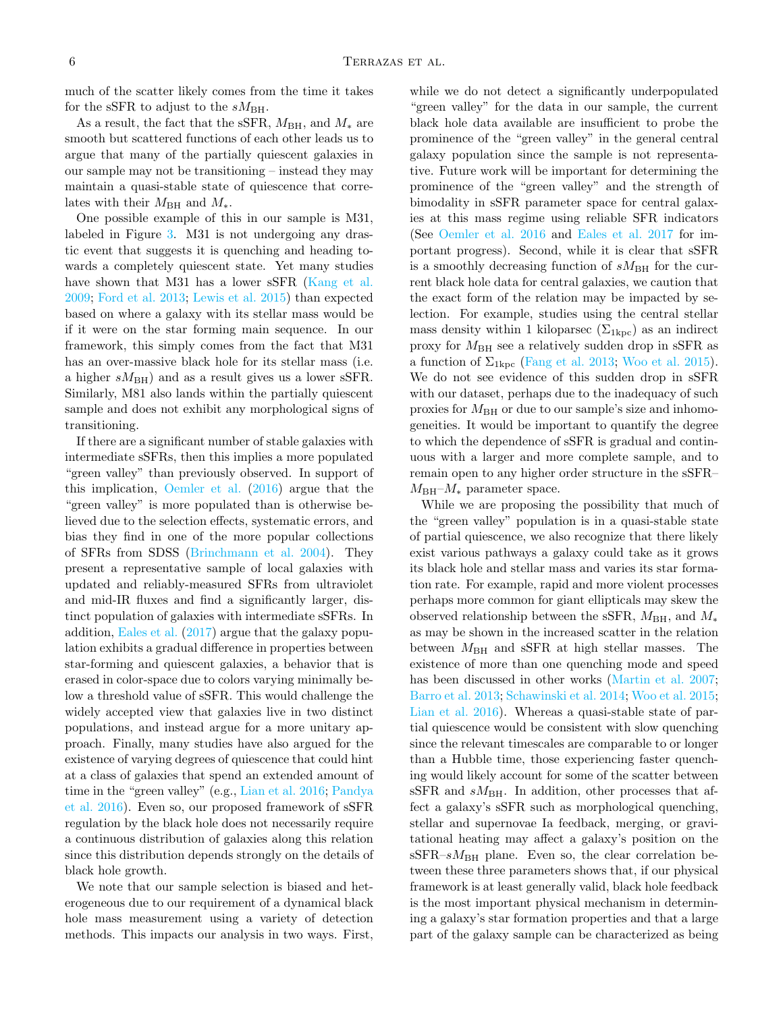much of the scatter likely comes from the time it takes for the sSFR to adjust to the  $sM_{\rm BH}$ .

As a result, the fact that the sSFR,  $M_{\rm BH}$ , and  $M_*$  are smooth but scattered functions of each other leads us to argue that many of the partially quiescent galaxies in our sample may not be transitioning – instead they may maintain a quasi-stable state of quiescence that correlates with their  $M_{\rm BH}$  and  $M_*$ .

One possible example of this in our sample is M31, labeled in Figure [3.](#page-3-0) M31 is not undergoing any drastic event that suggests it is quenching and heading towards a completely quiescent state. Yet many studies have shown that M31 has a lower sSFR [\(Kang et al.](#page-8-45) [2009;](#page-8-45) [Ford et al.](#page-8-46) [2013;](#page-8-46) [Lewis et al.](#page-9-33) [2015\)](#page-9-33) than expected based on where a galaxy with its stellar mass would be if it were on the star forming main sequence. In our framework, this simply comes from the fact that M31 has an over-massive black hole for its stellar mass (i.e. a higher  $sM_{\text{BH}}$ ) and as a result gives us a lower sSFR. Similarly, M81 also lands within the partially quiescent sample and does not exhibit any morphological signs of transitioning.

If there are a significant number of stable galaxies with intermediate sSFRs, then this implies a more populated "green valley" than previously observed. In support of this implication, [Oemler et al.](#page-9-34) [\(2016\)](#page-9-34) argue that the "green valley" is more populated than is otherwise believed due to the selection effects, systematic errors, and bias they find in one of the more popular collections of SFRs from SDSS [\(Brinchmann et al.](#page-8-37) [2004\)](#page-8-37). They present a representative sample of local galaxies with updated and reliably-measured SFRs from ultraviolet and mid-IR fluxes and find a significantly larger, distinct population of galaxies with intermediate sSFRs. In addition, [Eales et al.](#page-8-47) [\(2017\)](#page-8-47) argue that the galaxy population exhibits a gradual difference in properties between star-forming and quiescent galaxies, a behavior that is erased in color-space due to colors varying minimally below a threshold value of sSFR. This would challenge the widely accepted view that galaxies live in two distinct populations, and instead argue for a more unitary approach. Finally, many studies have also argued for the existence of varying degrees of quiescence that could hint at a class of galaxies that spend an extended amount of time in the "green valley" (e.g., [Lian et al.](#page-9-35) [2016;](#page-9-35) [Pandya](#page-9-36) [et al.](#page-9-36) [2016\)](#page-9-36). Even so, our proposed framework of sSFR regulation by the black hole does not necessarily require a continuous distribution of galaxies along this relation since this distribution depends strongly on the details of black hole growth.

We note that our sample selection is biased and heterogeneous due to our requirement of a dynamical black hole mass measurement using a variety of detection methods. This impacts our analysis in two ways. First,

while we do not detect a significantly underpopulated "green valley" for the data in our sample, the current black hole data available are insufficient to probe the prominence of the "green valley" in the general central galaxy population since the sample is not representative. Future work will be important for determining the prominence of the "green valley" and the strength of bimodality in sSFR parameter space for central galaxies at this mass regime using reliable SFR indicators (See [Oemler et al.](#page-9-34) [2016](#page-9-34) and [Eales et al.](#page-8-47) [2017](#page-8-47) for important progress). Second, while it is clear that sSFR is a smoothly decreasing function of  $sM_{\rm BH}$  for the current black hole data for central galaxies, we caution that the exact form of the relation may be impacted by selection. For example, studies using the central stellar mass density within 1 kiloparsec  $(\Sigma_{1\text{kpc}})$  as an indirect proxy for  $M_{\text{BH}}$  see a relatively sudden drop in sSFR as a function of  $\Sigma_{1\text{kpc}}$  [\(Fang et al.](#page-8-48) [2013;](#page-8-48) [Woo et al.](#page-9-7) [2015\)](#page-9-7). We do not see evidence of this sudden drop in sSFR with our dataset, perhaps due to the inadequacy of such proxies for  $M_{\rm BH}$  or due to our sample's size and inhomogeneities. It would be important to quantify the degree to which the dependence of sSFR is gradual and continuous with a larger and more complete sample, and to remain open to any higher order structure in the sSFR–  $M_{\rm BH}$ – $M_*$  parameter space.

While we are proposing the possibility that much of the "green valley" population is in a quasi-stable state of partial quiescence, we also recognize that there likely exist various pathways a galaxy could take as it grows its black hole and stellar mass and varies its star formation rate. For example, rapid and more violent processes perhaps more common for giant ellipticals may skew the observed relationship between the sSFR,  $M_{\rm BH}$ , and  $M_*$ as may be shown in the increased scatter in the relation between  $M_{\rm BH}$  and sSFR at high stellar masses. The existence of more than one quenching mode and speed has been discussed in other works [\(Martin et al.](#page-9-5) [2007;](#page-9-5) [Barro et al.](#page-8-49) [2013;](#page-8-49) [Schawinski et al.](#page-9-6) [2014;](#page-9-6) [Woo et al.](#page-9-7) [2015;](#page-9-7) [Lian et al.](#page-9-35) [2016\)](#page-9-35). Whereas a quasi-stable state of partial quiescence would be consistent with slow quenching since the relevant timescales are comparable to or longer than a Hubble time, those experiencing faster quenching would likely account for some of the scatter between sSFR and  $sM_{\text{BH}}$ . In addition, other processes that affect a galaxy's sSFR such as morphological quenching, stellar and supernovae Ia feedback, merging, or gravitational heating may affect a galaxy's position on the  $sSFR-sM_{BH}$  plane. Even so, the clear correlation between these three parameters shows that, if our physical framework is at least generally valid, black hole feedback is the most important physical mechanism in determining a galaxy's star formation properties and that a large part of the galaxy sample can be characterized as being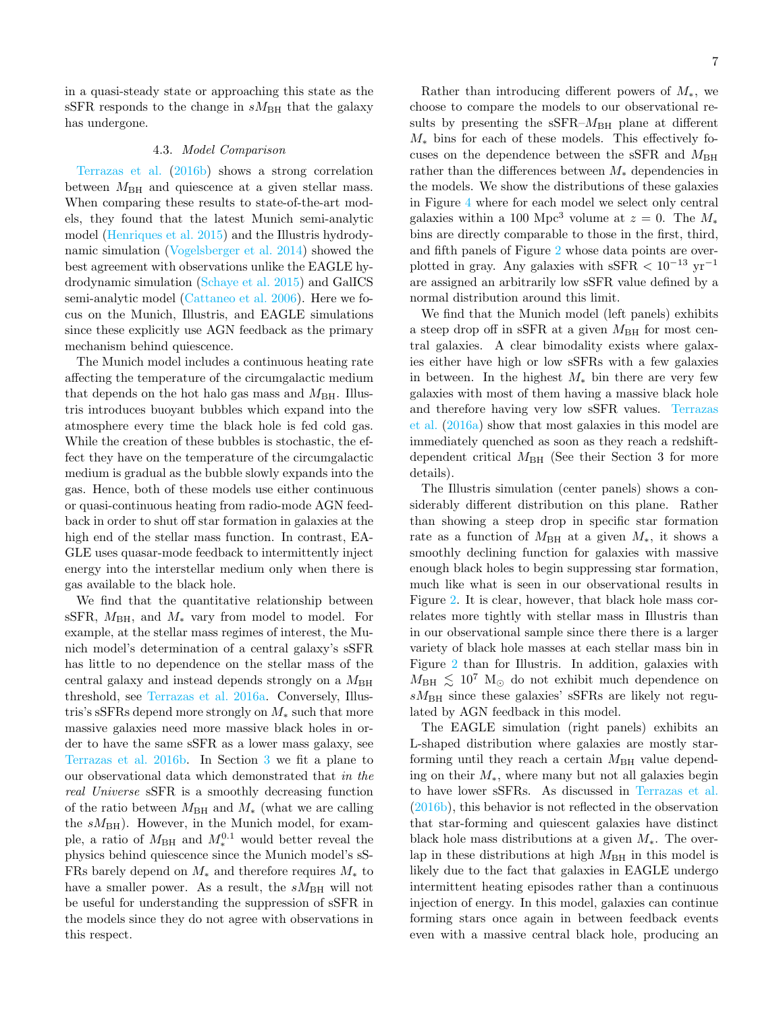in a quasi-steady state or approaching this state as the sSFR responds to the change in  $sM_{\rm BH}$  that the galaxy has undergone.

## 4.3. Model Comparison

[Terrazas et al.](#page-9-16) [\(2016b\)](#page-9-16) shows a strong correlation between  $M_{\text{BH}}$  and quiescence at a given stellar mass. When comparing these results to state-of-the-art models, they found that the latest Munich semi-analytic model [\(Henriques et al.](#page-8-32) [2015\)](#page-8-32) and the Illustris hydrodynamic simulation [\(Vogelsberger et al.](#page-9-23) [2014\)](#page-9-23) showed the best agreement with observations unlike the EAGLE hydrodynamic simulation [\(Schaye et al.](#page-9-25) [2015\)](#page-9-25) and GalICS semi-analytic model [\(Cattaneo et al.](#page-8-9) [2006\)](#page-8-9). Here we focus on the Munich, Illustris, and EAGLE simulations since these explicitly use AGN feedback as the primary mechanism behind quiescence.

The Munich model includes a continuous heating rate affecting the temperature of the circumgalactic medium that depends on the hot halo gas mass and  $M_{\rm BH}$ . Illustris introduces buoyant bubbles which expand into the atmosphere every time the black hole is fed cold gas. While the creation of these bubbles is stochastic, the effect they have on the temperature of the circumgalactic medium is gradual as the bubble slowly expands into the gas. Hence, both of these models use either continuous or quasi-continuous heating from radio-mode AGN feedback in order to shut off star formation in galaxies at the high end of the stellar mass function. In contrast, EA-GLE uses quasar-mode feedback to intermittently inject energy into the interstellar medium only when there is gas available to the black hole.

We find that the quantitative relationship between sSFR,  $M_{\rm BH}$ , and  $M_*$  vary from model to model. For example, at the stellar mass regimes of interest, the Munich model's determination of a central galaxy's sSFR has little to no dependence on the stellar mass of the central galaxy and instead depends strongly on a  $M_{\rm BH}$ threshold, see [Terrazas et al.](#page-9-37) [2016a.](#page-9-37) Conversely, Illustris's sSFRs depend more strongly on  $M_*$  such that more massive galaxies need more massive black holes in order to have the same sSFR as a lower mass galaxy, see [Terrazas et al.](#page-9-16) [2016b.](#page-9-16) In Section [3](#page-2-1) we fit a plane to our observational data which demonstrated that in the real Universe sSFR is a smoothly decreasing function of the ratio between  $M_{\rm BH}$  and  $M_*$  (what we are calling the  $sM_{\rm BH}$ ). However, in the Munich model, for example, a ratio of  $M_{\rm BH}$  and  $M_{*}^{0.1}$  would better reveal the physics behind quiescence since the Munich model's sS-FRs barely depend on  $M_*$  and therefore requires  $M_*$  to have a smaller power. As a result, the  $sM_{\rm BH}$  will not be useful for understanding the suppression of sSFR in the models since they do not agree with observations in this respect.

Rather than introducing different powers of  $M_*$ , we choose to compare the models to our observational results by presenting the  $sSFR-M_{BH}$  plane at different  $M_*$  bins for each of these models. This effectively focuses on the dependence between the sSFR and  $M_{\rm BH}$ rather than the differences between  $M_*$  dependencies in the models. We show the distributions of these galaxies in Figure [4](#page-7-1) where for each model we select only central galaxies within a 100 Mpc<sup>3</sup> volume at  $z = 0$ . The  $M_*$ bins are directly comparable to those in the first, third, and fifth panels of Figure [2](#page-2-0) whose data points are overplotted in gray. Any galaxies with sSFR  $< 10^{-13}$  yr<sup>-1</sup> are assigned an arbitrarily low sSFR value defined by a normal distribution around this limit.

We find that the Munich model (left panels) exhibits a steep drop off in sSFR at a given  $M_{\rm BH}$  for most central galaxies. A clear bimodality exists where galaxies either have high or low sSFRs with a few galaxies in between. In the highest  $M_*$  bin there are very few galaxies with most of them having a massive black hole and therefore having very low sSFR values. [Terrazas](#page-9-37) [et al.](#page-9-37) [\(2016a\)](#page-9-37) show that most galaxies in this model are immediately quenched as soon as they reach a redshiftdependent critical  $M_{\rm BH}$  (See their Section 3 for more details).

The Illustris simulation (center panels) shows a considerably different distribution on this plane. Rather than showing a steep drop in specific star formation rate as a function of  $M_{\rm BH}$  at a given  $M_*$ , it shows a smoothly declining function for galaxies with massive enough black holes to begin suppressing star formation, much like what is seen in our observational results in Figure [2.](#page-2-0) It is clear, however, that black hole mass correlates more tightly with stellar mass in Illustris than in our observational sample since there there is a larger variety of black hole masses at each stellar mass bin in Figure [2](#page-2-0) than for Illustris. In addition, galaxies with  $M_{\text{BH}} \lesssim 10^7$  M<sub> $\odot$ </sub> do not exhibit much dependence on  $sM_{\text{BH}}$  since these galaxies' sSFRs are likely not regulated by AGN feedback in this model.

The EAGLE simulation (right panels) exhibits an L-shaped distribution where galaxies are mostly starforming until they reach a certain  $M_{\rm BH}$  value depending on their  $M_*$ , where many but not all galaxies begin to have lower sSFRs. As discussed in [Terrazas et al.](#page-9-16) [\(2016b\)](#page-9-16), this behavior is not reflected in the observation that star-forming and quiescent galaxies have distinct black hole mass distributions at a given  $M_*$ . The overlap in these distributions at high  $M_{\rm BH}$  in this model is likely due to the fact that galaxies in EAGLE undergo intermittent heating episodes rather than a continuous injection of energy. In this model, galaxies can continue forming stars once again in between feedback events even with a massive central black hole, producing an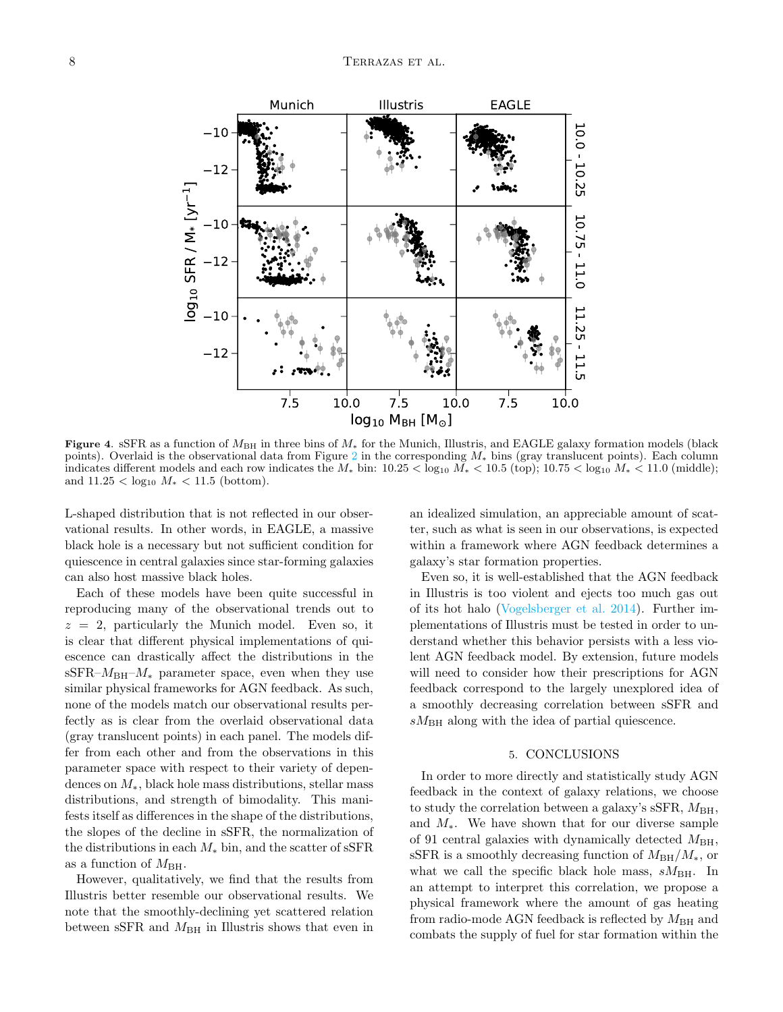

<span id="page-7-1"></span>Figure 4. sSFR as a function of  $M_{\rm BH}$  in three bins of  $M_*$  for the Munich, Illustris, and EAGLE galaxy formation models (black points). Overlaid is the observational data from Figure [2](#page-2-0) in the corresponding  $M_*$  bins (gray translucent points). Each column indicates different models and each row indicates the  $M_*$  bin:  $10.25 < \log_{10} M_* < 10.5$  (top);  $10.75 < \log_{10} M_* < 11.0$  (middle); and  $11.25 < \log_{10} M_{*} < 11.5$  (bottom).

L-shaped distribution that is not reflected in our observational results. In other words, in EAGLE, a massive black hole is a necessary but not sufficient condition for quiescence in central galaxies since star-forming galaxies can also host massive black holes.

Each of these models have been quite successful in reproducing many of the observational trends out to  $z = 2$ , particularly the Munich model. Even so, it is clear that different physical implementations of quiescence can drastically affect the distributions in the sSFR– $M_{\rm BH}$ – $M_*$  parameter space, even when they use similar physical frameworks for AGN feedback. As such, none of the models match our observational results perfectly as is clear from the overlaid observational data (gray translucent points) in each panel. The models differ from each other and from the observations in this parameter space with respect to their variety of dependences on M∗, black hole mass distributions, stellar mass distributions, and strength of bimodality. This manifests itself as differences in the shape of the distributions, the slopes of the decline in sSFR, the normalization of the distributions in each  $M_*$  bin, and the scatter of sSFR as a function of  $M_{\rm BH}$ .

However, qualitatively, we find that the results from Illustris better resemble our observational results. We note that the smoothly-declining yet scattered relation between sSFR and  $M_{BH}$  in Illustris shows that even in

an idealized simulation, an appreciable amount of scatter, such as what is seen in our observations, is expected within a framework where AGN feedback determines a galaxy's star formation properties.

Even so, it is well-established that the AGN feedback in Illustris is too violent and ejects too much gas out of its hot halo [\(Vogelsberger et al.](#page-9-23) [2014\)](#page-9-23). Further implementations of Illustris must be tested in order to understand whether this behavior persists with a less violent AGN feedback model. By extension, future models will need to consider how their prescriptions for AGN feedback correspond to the largely unexplored idea of a smoothly decreasing correlation between sSFR and  $sM_{\text{BH}}$  along with the idea of partial quiescence.

### 5. CONCLUSIONS

<span id="page-7-0"></span>In order to more directly and statistically study AGN feedback in the context of galaxy relations, we choose to study the correlation between a galaxy's sSFR,  $M_{\rm BH}$ , and  $M_*$ . We have shown that for our diverse sample of 91 central galaxies with dynamically detected  $M_{\rm BH}$ , sSFR is a smoothly decreasing function of  $M_{\rm BH}/M_*$ , or what we call the specific black hole mass,  $sM_{\rm BH}$ . In an attempt to interpret this correlation, we propose a physical framework where the amount of gas heating from radio-mode AGN feedback is reflected by  $M_{\rm BH}$  and combats the supply of fuel for star formation within the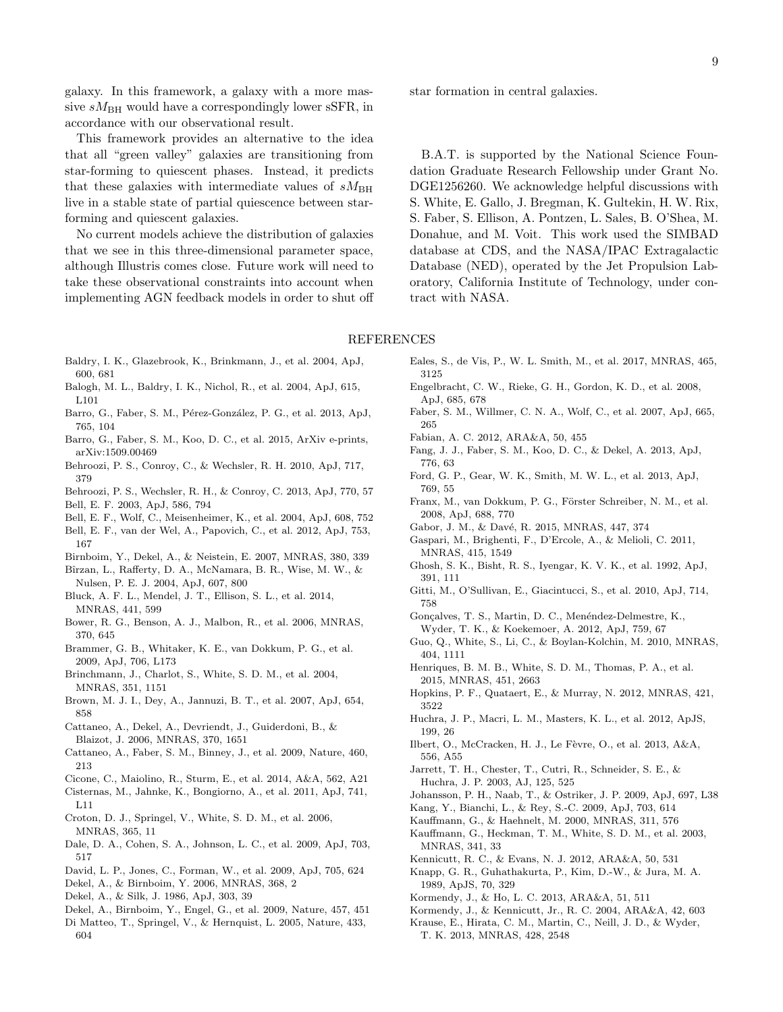galaxy. In this framework, a galaxy with a more massive  $sM_{\rm BH}$  would have a correspondingly lower sSFR, in accordance with our observational result.

This framework provides an alternative to the idea that all "green valley" galaxies are transitioning from star-forming to quiescent phases. Instead, it predicts that these galaxies with intermediate values of  $sM_{\rm BH}$ live in a stable state of partial quiescence between starforming and quiescent galaxies.

No current models achieve the distribution of galaxies that we see in this three-dimensional parameter space, although Illustris comes close. Future work will need to take these observational constraints into account when implementing AGN feedback models in order to shut off star formation in central galaxies.

B.A.T. is supported by the National Science Foundation Graduate Research Fellowship under Grant No. DGE1256260. We acknowledge helpful discussions with S. White, E. Gallo, J. Bregman, K. Gultekin, H. W. Rix, S. Faber, S. Ellison, A. Pontzen, L. Sales, B. O'Shea, M. Donahue, and M. Voit. This work used the SIMBAD database at CDS, and the NASA/IPAC Extragalactic Database (NED), operated by the Jet Propulsion Laboratory, California Institute of Technology, under contract with NASA.

#### REFERENCES

- <span id="page-8-4"></span>Baldry, I. K., Glazebrook, K., Brinkmann, J., et al. 2004, ApJ, 600, 681
- <span id="page-8-41"></span>Balogh, M. L., Baldry, I. K., Nichol, R., et al. 2004, ApJ, 615, L101
- <span id="page-8-49"></span>Barro, G., Faber, S. M., Pérez-González, P. G., et al. 2013, ApJ, 765, 104
- <span id="page-8-5"></span>Barro, G., Faber, S. M., Koo, D. C., et al. 2015, ArXiv e-prints, arXiv:1509.00469
- <span id="page-8-38"></span>Behroozi, P. S., Conroy, C., & Wechsler, R. H. 2010, ApJ, 717, 379
- <span id="page-8-39"></span>Behroozi, P. S., Wechsler, R. H., & Conroy, C. 2013, ApJ, 770, 57
- <span id="page-8-30"></span>Bell, E. F. 2003, ApJ, 586, 794
- <span id="page-8-0"></span>Bell, E. F., Wolf, C., Meisenheimer, K., et al. 2004, ApJ, 608, 752
- <span id="page-8-24"></span>Bell, E. F., van der Wel, A., Papovich, C., et al. 2012, ApJ, 753, 167
- <span id="page-8-10"></span>Birnboim, Y., Dekel, A., & Neistein, E. 2007, MNRAS, 380, 339
- <span id="page-8-34"></span>Bîrzan, L., Rafferty, D. A., McNamara, B. R., Wise, M. W., & Nulsen, P. E. J. 2004, ApJ, 607, 800
- <span id="page-8-25"></span>Bluck, A. F. L., Mendel, J. T., Ellison, S. L., et al. 2014, MNRAS, 441, 599
- <span id="page-8-33"></span>Bower, R. G., Benson, A. J., Malbon, R., et al. 2006, MNRAS, 370, 645
- <span id="page-8-42"></span>Brammer, G. B., Whitaker, K. E., van Dokkum, P. G., et al. 2009, ApJ, 706, L173
- <span id="page-8-37"></span>Brinchmann, J., Charlot, S., White, S. D. M., et al. 2004, MNRAS, 351, 1151
- <span id="page-8-1"></span>Brown, M. J. I., Dey, A., Jannuzi, B. T., et al. 2007, ApJ, 654, 858
- <span id="page-8-9"></span>Cattaneo, A., Dekel, A., Devriendt, J., Guiderdoni, B., & Blaizot, J. 2006, MNRAS, 370, 1651
- <span id="page-8-19"></span>Cattaneo, A., Faber, S. M., Binney, J., et al. 2009, Nature, 460, 213
- <span id="page-8-21"></span>Cicone, C., Maiolino, R., Sturm, E., et al. 2014, A&A, 562, A21
- <span id="page-8-14"></span>Cisternas, M., Jahnke, K., Bongiorno, A., et al. 2011, ApJ, 741, L11
- <span id="page-8-18"></span>Croton, D. J., Springel, V., White, S. D. M., et al. 2006, MNRAS, 365, 11
- <span id="page-8-52"></span>Dale, D. A., Cohen, S. A., Johnson, L. C., et al. 2009, ApJ, 703, 517
- <span id="page-8-35"></span>David, L. P., Jones, C., Forman, W., et al. 2009, ApJ, 705, 624
- <span id="page-8-8"></span>Dekel, A., & Birnboim, Y. 2006, MNRAS, 368, 2
- <span id="page-8-6"></span>Dekel, A., & Silk, J. 1986, ApJ, 303, 39
- <span id="page-8-11"></span>Dekel, A., Birnboim, Y., Engel, G., et al. 2009, Nature, 457, 451
- <span id="page-8-17"></span>Di Matteo, T., Springel, V., & Hernquist, L. 2005, Nature, 433, 604
- <span id="page-8-47"></span>Eales, S., de Vis, P., W. L. Smith, M., et al. 2017, MNRAS, 465, 3125
- <span id="page-8-53"></span>Engelbracht, C. W., Rieke, G. H., Gordon, K. D., et al. 2008, ApJ, 685, 678
- <span id="page-8-2"></span>Faber, S. M., Willmer, C. N. A., Wolf, C., et al. 2007, ApJ, 665, 265
- <span id="page-8-48"></span><span id="page-8-20"></span>Fabian, A. C. 2012, ARA&A, 50, 455
- Fang, J. J., Faber, S. M., Koo, D. C., & Dekel, A. 2013, ApJ, 776, 63
- <span id="page-8-46"></span>Ford, G. P., Gear, W. K., Smith, M. W. L., et al. 2013, ApJ, 769, 55
- <span id="page-8-23"></span>Franx, M., van Dokkum, P. G., Förster Schreiber, N. M., et al. 2008, ApJ, 688, 770
- <span id="page-8-12"></span>Gabor, J. M., & Davé, R. 2015, MNRAS, 447, 374
- <span id="page-8-40"></span>Gaspari, M., Brighenti, F., D'Ercole, A., & Melioli, C. 2011, MNRAS, 415, 1549
- <span id="page-8-51"></span>Ghosh, S. K., Bisht, R. S., Iyengar, K. V. K., et al. 1992, ApJ, 391, 111
- <span id="page-8-36"></span>Gitti, M., O'Sullivan, E., Giacintucci, S., et al. 2010, ApJ, 714, 758
- <span id="page-8-43"></span>Gonçalves, T. S., Martin, D. C., Menéndez-Delmestre, K., Wyder, T. K., & Koekemoer, A. 2012, ApJ, 759, 67
- <span id="page-8-31"></span>Guo, Q., White, S., Li, C., & Boylan-Kolchin, M. 2010, MNRAS, 404, 1111
- <span id="page-8-32"></span>Henriques, B. M. B., White, S. D. M., Thomas, P. A., et al. 2015, MNRAS, 451, 2663
- <span id="page-8-7"></span>Hopkins, P. F., Quataert, E., & Murray, N. 2012, MNRAS, 421, 3522
- <span id="page-8-27"></span>Huchra, J. P., Macri, L. M., Masters, K. L., et al. 2012, ApJS, 199, 26
- <span id="page-8-3"></span>Ilbert, O., McCracken, H. J., Le Fèvre, O., et al. 2013, A&A, 556, A55
- <span id="page-8-50"></span>Jarrett, T. H., Chester, T., Cutri, R., Schneider, S. E., & Huchra, J. P. 2003, AJ, 125, 525
- <span id="page-8-15"></span>Johansson, P. H., Naab, T., & Ostriker, J. P. 2009, ApJ, 697, L38
- <span id="page-8-45"></span>Kang, Y., Bianchi, L., & Rey, S.-C. 2009, ApJ, 703, 614
- <span id="page-8-16"></span>Kauffmann, G., & Haehnelt, M. 2000, MNRAS, 311, 576
- <span id="page-8-22"></span>Kauffmann, G., Heckman, T. M., White, S. D. M., et al. 2003, MNRAS, 341, 33
- <span id="page-8-29"></span>Kennicutt, R. C., & Evans, N. J. 2012, ARA&A, 50, 531
- <span id="page-8-28"></span>Knapp, G. R., Guhathakurta, P., Kim, D.-W., & Jura, M. A. 1989, ApJS, 70, 329
- <span id="page-8-26"></span>Kormendy, J., & Ho, L. C. 2013, ARA&A, 51, 511
- <span id="page-8-13"></span>Kormendy, J., & Kennicutt, Jr., R. C. 2004, ARA&A, 42, 603
- <span id="page-8-44"></span>Krause, E., Hirata, C. M., Martin, C., Neill, J. D., & Wyder, T. K. 2013, MNRAS, 428, 2548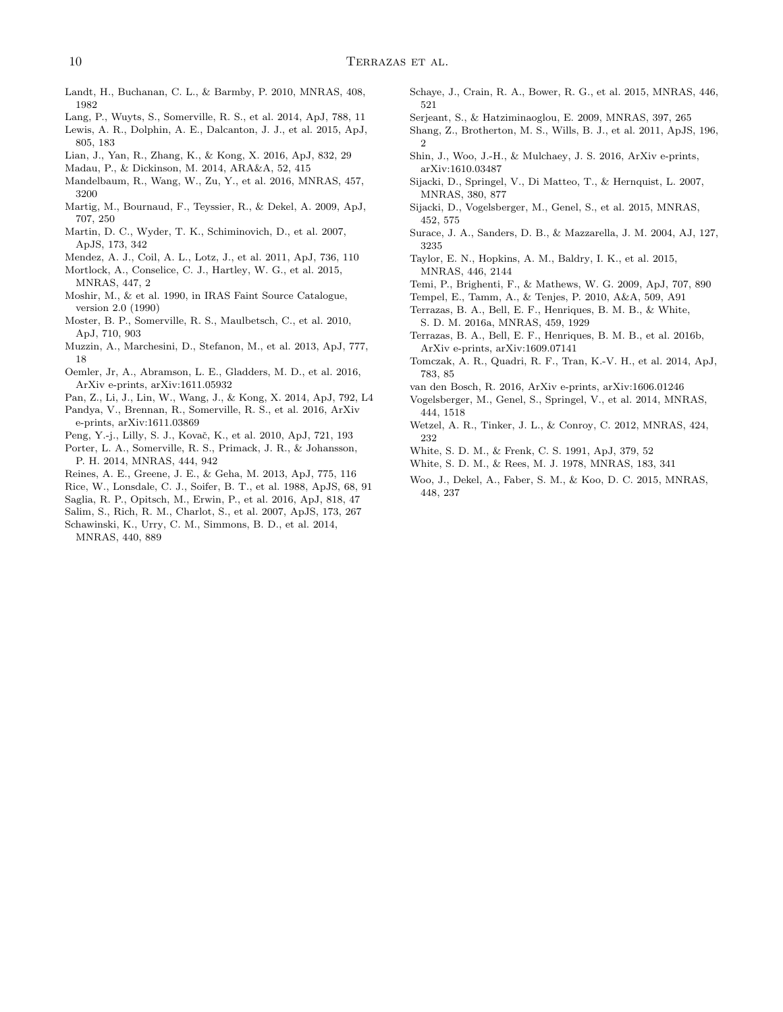- <span id="page-9-41"></span>Landt, H., Buchanan, C. L., & Barmby, P. 2010, MNRAS, 408, 1982
- <span id="page-9-12"></span>Lang, P., Wuyts, S., Somerville, R. S., et al. 2014, ApJ, 788, 11
- <span id="page-9-33"></span>Lewis, A. R., Dolphin, A. E., Dalcanton, J. J., et al. 2015, ApJ, 805, 183
- <span id="page-9-35"></span>Lian, J., Yan, R., Zhang, K., & Kong, X. 2016, ApJ, 832, 29
- <span id="page-9-3"></span>Madau, P., & Dickinson, M. 2014, ARA&A, 52, 415
- <span id="page-9-13"></span>Mandelbaum, R., Wang, W., Zu, Y., et al. 2016, MNRAS, 457, 3200
- <span id="page-9-10"></span>Martig, M., Bournaud, F., Teyssier, R., & Dekel, A. 2009, ApJ, 707, 250
- <span id="page-9-5"></span>Martin, D. C., Wyder, T. K., Schiminovich, D., et al. 2007, ApJS, 173, 342
- <span id="page-9-30"></span>Mendez, A. J., Coil, A. L., Lotz, J., et al. 2011, ApJ, 736, 110
- <span id="page-9-2"></span>Mortlock, A., Conselice, C. J., Hartley, W. G., et al. 2015, MNRAS, 447, 2
- <span id="page-9-18"></span>Moshir, M., & et al. 1990, in IRAS Faint Source Catalogue, version 2.0 (1990)
- <span id="page-9-29"></span>Moster, B. P., Somerville, R. S., Maulbetsch, C., et al. 2010, ApJ, 710, 903
- <span id="page-9-0"></span>Muzzin, A., Marchesini, D., Stefanon, M., et al. 2013, ApJ, 777, 18
- <span id="page-9-34"></span>Oemler, Jr, A., Abramson, L. E., Gladders, M. D., et al. 2016, ArXiv e-prints, arXiv:1611.05932
- <span id="page-9-32"></span>Pan, Z., Li, J., Lin, W., Wang, J., & Kong, X. 2014, ApJ, 792, L4
- <span id="page-9-36"></span>Pandya, V., Brennan, R., Somerville, R. S., et al. 2016, ArXiv e-prints, arXiv:1611.03869
- <span id="page-9-11"></span>Peng, Y.-j., Lilly, S. J., Kovač, K., et al. 2010, ApJ, 721, 193
- <span id="page-9-24"></span>Porter, L. A., Somerville, R. S., Primack, J. R., & Johansson, P. H. 2014, MNRAS, 444, 942
- <span id="page-9-21"></span>Reines, A. E., Greene, J. E., & Geha, M. 2013, ApJ, 775, 116
- <span id="page-9-17"></span>Rice, W., Lonsdale, C. J., Soifer, B. T., et al. 1988, ApJS, 68, 91
- <span id="page-9-14"></span>Saglia, R. P., Opitsch, M., Erwin, P., et al. 2016, ApJ, 818, 47
- <span id="page-9-28"></span>Salim, S., Rich, R. M., Charlot, S., et al. 2007, ApJS, 173, 267
- <span id="page-9-6"></span>Schawinski, K., Urry, C. M., Simmons, B. D., et al. 2014, MNRAS, 440, 889
- <span id="page-9-25"></span>Schaye, J., Crain, R. A., Bower, R. G., et al. 2015, MNRAS, 446, 521
- <span id="page-9-20"></span>Serjeant, S., & Hatziminaoglou, E. 2009, MNRAS, 397, 265
- <span id="page-9-40"></span>Shang, Z., Brotherton, M. S., Wills, B. J., et al. 2011, ApJS, 196,  $\mathfrak{D}$
- <span id="page-9-26"></span>Shin, J., Woo, J.-H., & Mulchaey, J. S. 2016, ArXiv e-prints, arXiv:1610.03487
- <span id="page-9-22"></span>Sijacki, D., Springel, V., Di Matteo, T., & Hernquist, L. 2007, MNRAS, 380, 877
- <span id="page-9-27"></span>Sijacki, D., Vogelsberger, M., Genel, S., et al. 2015, MNRAS, 452, 575
- <span id="page-9-19"></span>Surace, J. A., Sanders, D. B., & Mazzarella, J. M. 2004, AJ, 127, 3235
- <span id="page-9-4"></span>Taylor, E. N., Hopkins, A. M., Baldry, I. K., et al. 2015, MNRAS, 446, 2144
- <span id="page-9-38"></span>Temi, P., Brighenti, F., & Mathews, W. G. 2009, ApJ, 707, 890
- <span id="page-9-39"></span>Tempel, E., Tamm, A., & Tenjes, P. 2010, A&A, 509, A91
- <span id="page-9-37"></span>Terrazas, B. A., Bell, E. F., Henriques, B. M. B., & White, S. D. M. 2016a, MNRAS, 459, 1929
- <span id="page-9-16"></span>Terrazas, B. A., Bell, E. F., Henriques, B. M. B., et al. 2016b, ArXiv e-prints, arXiv:1609.07141
- <span id="page-9-1"></span>Tomczak, A. R., Quadri, R. F., Tran, K.-V. H., et al. 2014, ApJ, 783, 85
- <span id="page-9-15"></span>van den Bosch, R. 2016, ArXiv e-prints, arXiv:1606.01246
- <span id="page-9-23"></span>Vogelsberger, M., Genel, S., Springel, V., et al. 2014, MNRAS, 444, 1518
- <span id="page-9-31"></span>Wetzel, A. R., Tinker, J. L., & Conroy, C. 2012, MNRAS, 424, 232
- <span id="page-9-9"></span><span id="page-9-8"></span>White, S. D. M., & Frenk, C. S. 1991, ApJ, 379, 52
- White, S. D. M., & Rees, M. J. 1978, MNRAS, 183, 341
- <span id="page-9-7"></span>Woo, J., Dekel, A., Faber, S. M., & Koo, D. C. 2015, MNRAS, 448, 237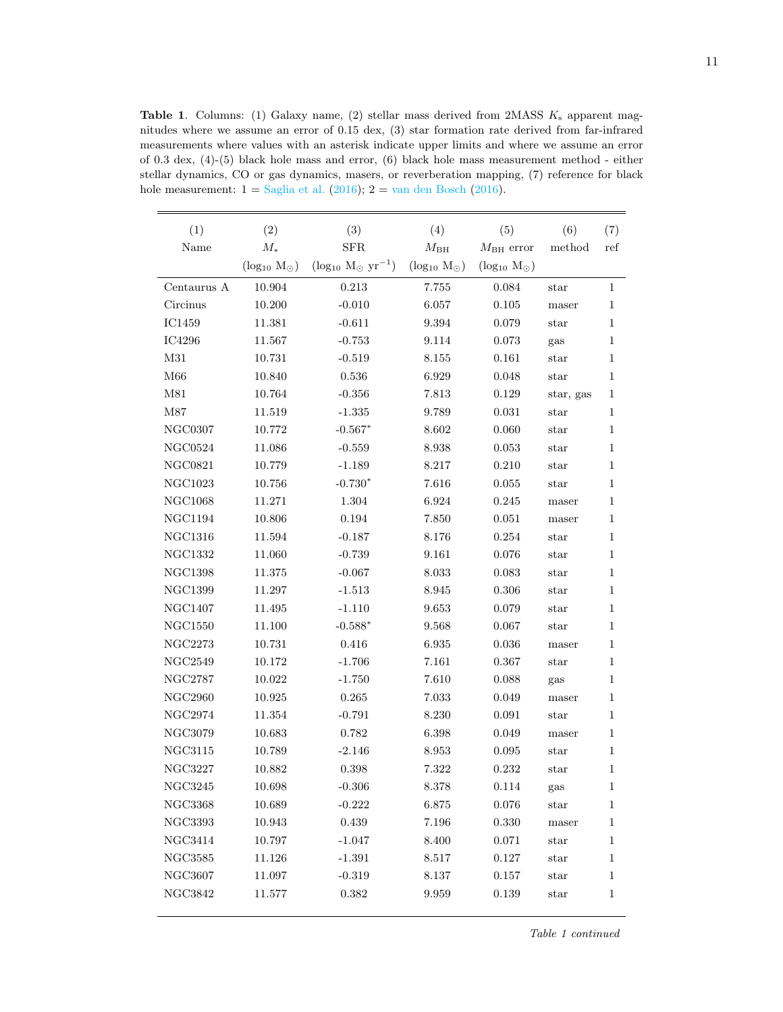<span id="page-10-0"></span>**Table 1.** Columns: (1) Galaxy name, (2) stellar mass derived from 2MASS  $K_s$  apparent magnitudes where we assume an error of 0.15 dex, (3) star formation rate derived from far-infrared measurements where values with an asterisk indicate upper limits and where we assume an error of 0.3 dex, (4)-(5) black hole mass and error, (6) black hole mass measurement method - either stellar dynamics, CO or gas dynamics, masers, or reverberation mapping, (7) reference for black hole measurement:  $1 =$  [Saglia et al.](#page-9-14) [\(2016\)](#page-9-15);  $2 =$  [van den Bosch](#page-9-15) (2016).

| (1)            | (2)                     | (3)                             | (4)                     | (5)                     | (6)           | (7)          |
|----------------|-------------------------|---------------------------------|-------------------------|-------------------------|---------------|--------------|
| Name           | $M_{\ast}$              | <b>SFR</b>                      | $M_{\rm BH}$            | $M_{\rm BH}$ error      | method        | ref          |
|                | $(\log_{10} M_{\odot})$ | $(\log_{10} M_{\odot} yr^{-1})$ | $(\log_{10} M_{\odot})$ | $(\log_{10} M_{\odot})$ |               |              |
| Centaurus A    | 10.904                  | 0.213                           | 7.755                   | 0.084                   | star          | $\mathbf{1}$ |
| Circinus       | 10.200                  | $-0.010$                        | 6.057                   | 0.105                   | maser         | 1            |
| IC1459         | 11.381                  | $-0.611$                        | 9.394                   | 0.079                   | star          | $\mathbf{1}$ |
| IC4296         | 11.567                  | $-0.753$                        | 9.114                   | 0.073                   | gas           | 1            |
| M31            | 10.731                  | $-0.519$                        | 8.155                   | 0.161                   | $_{\rm star}$ | 1            |
| M66            | 10.840                  | 0.536                           | 6.929                   | 0.048                   | star          | 1            |
| M81            | 10.764                  | $-0.356$                        | 7.813                   | 0.129                   | star, gas     | 1            |
| $\rm M87$      | 11.519                  | $-1.335$                        | 9.789                   | 0.031                   | star          | 1            |
| <b>NGC0307</b> | 10.772                  | $-0.567*$                       | 8.602                   | 0.060                   | star          | 1            |
| <b>NGC0524</b> | 11.086                  | $-0.559$                        | 8.938                   | 0.053                   | star          | 1            |
| <b>NGC0821</b> | 10.779                  | $-1.189$                        | 8.217                   | 0.210                   | $_{\rm star}$ | 1            |
| NGC1023        | 10.756                  | $-0.730*$                       | 7.616                   | 0.055                   | star          | 1            |
| <b>NGC1068</b> | $11.271\,$              | $1.304\,$                       | 6.924                   | 0.245                   | maser         | 1            |
| NGC1194        | 10.806                  | 0.194                           | 7.850                   | 0.051                   | maser         | 1            |
| <b>NGC1316</b> | 11.594                  | $-0.187$                        | 8.176                   | 0.254                   | $_{\rm star}$ | 1            |
| $\rm NGC1332$  | 11.060                  | $-0.739$                        | 9.161                   | 0.076                   | star          | $\mathbf{1}$ |
| <b>NGC1398</b> | 11.375                  | $-0.067$                        | 8.033                   | 0.083                   | star          | 1            |
| <b>NGC1399</b> | 11.297                  | $-1.513$                        | 8.945                   | $0.306\,$               | $_{\rm star}$ | 1            |
| <b>NGC1407</b> | 11.495                  | $-1.110$                        | 9.653                   | 0.079                   | star          | 1            |
| <b>NGC1550</b> | 11.100                  | $-0.588*$                       | 9.568                   | 0.067                   | $_{\rm star}$ | 1            |
| NGC2273        | 10.731                  | 0.416                           | 6.935                   | 0.036                   | maser         | 1            |
| NGC2549        | 10.172                  | $-1.706$                        | 7.161                   | 0.367                   | star          | 1            |
| <b>NGC2787</b> | 10.022                  | $-1.750$                        | 7.610                   | 0.088                   | gas           | 1            |
| <b>NGC2960</b> | 10.925                  | 0.265                           | 7.033                   | 0.049                   | maser         | 1            |
| <b>NGC2974</b> | 11.354                  | $-0.791$                        | 8.230                   | 0.091                   | $_{\rm star}$ | 1            |
| NGC3079        | 10.683                  | 0.782                           | 6.398                   | 0.049                   | maser         | $\mathbf{1}$ |
| <b>NGC3115</b> | 10.789                  | $-2.146$                        | 8.953                   | 0.095                   | star          | 1            |
| <b>NGC3227</b> | 10.882                  | 0.398                           | 7.322                   | 0.232                   | $_{\rm star}$ | 1            |
| NGC3245        | 10.698                  | $-0.306$                        | 8.378                   | $0.114\,$               | gas           | $\,1$        |
| NGC3368        | 10.689                  | $-0.222$                        | 6.875                   | 0.076                   | star          | 1            |
| <b>NGC3393</b> | 10.943                  | $\,0.439\,$                     | 7.196                   | 0.330                   | maser         | 1            |
| <b>NGC3414</b> | 10.797                  | $-1.047$                        | 8.400                   | 0.071                   | $_{\rm star}$ | 1            |
| <b>NGC3585</b> | 11.126                  | $-1.391$                        | 8.517                   | 0.127                   | star          | 1            |
| <b>NGC3607</b> | 11.097                  | $-0.319$                        | 8.137                   | $0.157\,$               | star          | $\mathbf{1}$ |
| $\rm NGC3842$  | 11.577                  | 0.382                           | 9.959                   | 0.139                   | star          | $\mathbf{1}$ |
|                |                         |                                 |                         |                         |               |              |

Table 1 continued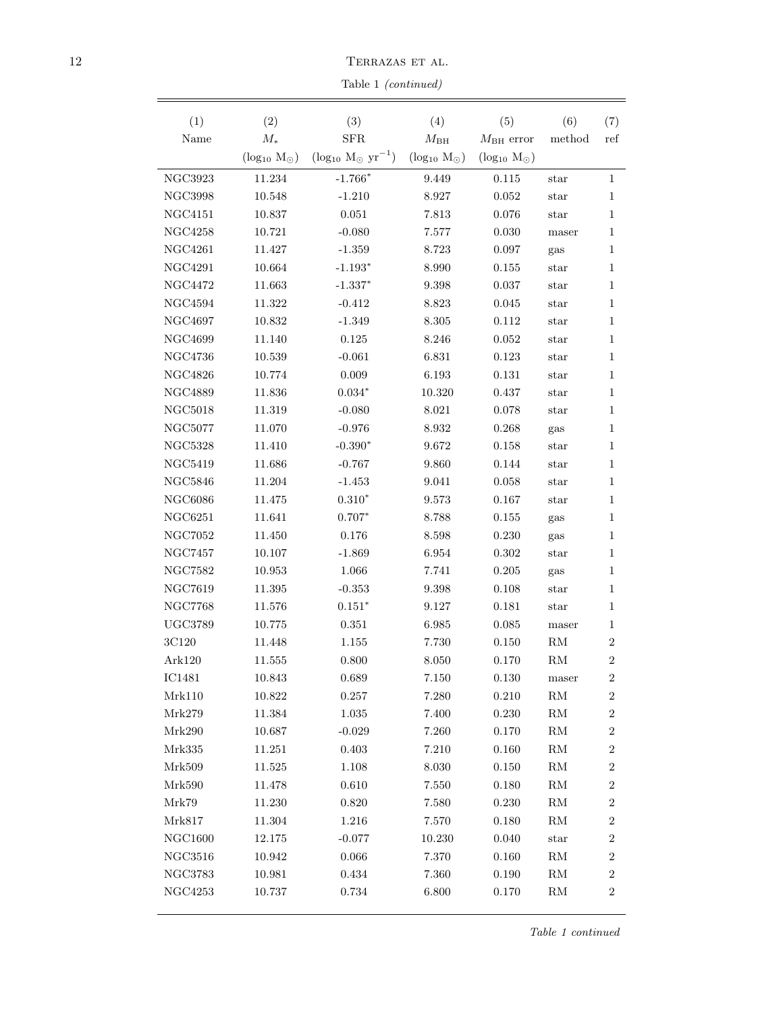$12$  TERRAZAS ET AL.

Table 1 (continued)

| (1)            | (2)                     | (3)                             | (4)                     | (5)                     | (6)           | (7)            |
|----------------|-------------------------|---------------------------------|-------------------------|-------------------------|---------------|----------------|
| Name           | $M_{*}$                 | SFR                             | $M_{\rm BH}$            | $M_{\rm BH}$ error      | method        | ref            |
|                | $(\log_{10} M_{\odot})$ | $(\log_{10} M_{\odot} yr^{-1})$ | $(\log_{10} M_{\odot})$ | $(\log_{10} M_{\odot})$ |               |                |
| NGC3923        | 11.234                  | $-1.766*$                       | 9.449                   | 0.115                   | star          | 1              |
| <b>NGC3998</b> | 10.548                  | $-1.210$                        | 8.927                   | 0.052                   | star          | 1              |
| <b>NGC4151</b> | 10.837                  | 0.051                           | 7.813                   | 0.076                   | $_{\rm star}$ | 1              |
| <b>NGC4258</b> | 10.721                  | $-0.080$                        | 7.577                   | 0.030                   | maser         | 1              |
| <b>NGC4261</b> | 11.427                  | $-1.359$                        | 8.723                   | 0.097                   | gas           | 1              |
| <b>NGC4291</b> | 10.664                  | $-1.193*$                       | 8.990                   | 0.155                   | star          | 1              |
| <b>NGC4472</b> | 11.663                  | $-1.337*$                       | 9.398                   | 0.037                   | $_{\rm star}$ | 1              |
| <b>NGC4594</b> | 11.322                  | $-0.412$                        | 8.823                   | 0.045                   | $_{\rm star}$ | 1              |
| NGC4697        | 10.832                  | $-1.349$                        | $8.305\,$               | 0.112                   | $_{\rm star}$ | 1              |
| NGC4699        | 11.140                  | 0.125                           | 8.246                   | 0.052                   | $_{\rm star}$ | 1              |
| <b>NGC4736</b> | 10.539                  | $-0.061$                        | 6.831                   | 0.123                   | $_{\rm star}$ | 1              |
| <b>NGC4826</b> | 10.774                  | 0.009                           | 6.193                   | 0.131                   | $_{\rm star}$ | 1              |
| <b>NGC4889</b> | 11.836                  | $0.034*$                        | 10.320                  | 0.437                   | $_{\rm star}$ | 1              |
| <b>NGC5018</b> | 11.319                  | $-0.080$                        | 8.021                   | 0.078                   | $_{\rm star}$ | 1              |
| <b>NGC5077</b> | 11.070                  | $-0.976$                        | 8.932                   | 0.268                   | gas           | 1              |
| <b>NGC5328</b> | 11.410                  | $-0.390*$                       | 9.672                   | 0.158                   | $_{\rm star}$ | 1              |
| <b>NGC5419</b> | 11.686                  | $-0.767$                        | 9.860                   | 0.144                   | $_{\rm star}$ | 1              |
| <b>NGC5846</b> | 11.204                  | $-1.453$                        | 9.041                   | 0.058                   | $_{\rm star}$ | 1              |
| <b>NGC6086</b> | 11.475                  | $0.310*$                        | 9.573                   | 0.167                   | $_{\rm star}$ | 1              |
| <b>NGC6251</b> | 11.641                  | $0.707*$                        | 8.788                   | 0.155                   | gas           | 1              |
| <b>NGC7052</b> | 11.450                  | 0.176                           | 8.598                   | 0.230                   | gas           | 1              |
| <b>NGC7457</b> | 10.107                  | $-1.869$                        | 6.954                   | 0.302                   | $_{\rm star}$ | 1              |
| <b>NGC7582</b> | 10.953                  | 1.066                           | 7.741                   | 0.205                   | gas           | 1              |
| <b>NGC7619</b> | 11.395                  | $-0.353$                        | 9.398                   | 0.108                   | $_{\rm star}$ | 1              |
| <b>NGC7768</b> | 11.576                  | $0.151*$                        | 9.127                   | 0.181                   | $_{\rm star}$ | 1              |
| <b>UGC3789</b> | 10.775                  | 0.351                           | 6.985                   | 0.085                   | maser         | 1              |
| 3C120          | 11.448                  | 1.155                           | 7.730                   | 0.150                   | RM            | 2              |
| Ark120         | 11.555                  | 0.800                           | 8.050                   | 0.170                   | RM            | $\overline{2}$ |
| $\rm IC1481$   | 10.843                  | 0.689                           | 7.150                   | $0.130\,$               | maser         | $\,2$          |
| Mrk110         | 10.822                  | 0.257                           | 7.280                   | 0.210                   | ${\rm RM}$    | $\,2$          |
| Mrk279         | 11.384                  | 1.035                           | 7.400                   | $0.230\,$               | ${\rm RM}$    | $\overline{2}$ |
| Mrk290         | 10.687                  | $-0.029$                        | 7.260                   | 0.170                   | $\mathrm{RM}$ | 2              |
| Mrk335         | 11.251                  | 0.403                           | 7.210                   | 0.160                   | $\mathrm{RM}$ | $\,2$          |
| Mrk509         | 11.525                  | $1.108\,$                       | 8.030                   | 0.150                   | ${\rm RM}$    | $\overline{2}$ |
| Mrk590         | 11.478                  | 0.610                           | $7.550\,$               | 0.180                   | ${\rm RM}$    | $\overline{2}$ |
| Mrk79          | 11.230                  | 0.820                           | 7.580                   | 0.230                   | RM            | $\,2$          |
| Mrk817         | 11.304                  | $1.216\,$                       | 7.570                   | 0.180                   | ${\rm RM}$    | $\overline{2}$ |
| NGC1600        | 12.175                  | $-0.077$                        | 10.230                  | 0.040                   | star          | $\overline{2}$ |
| NGC3516        | 10.942                  | 0.066                           | 7.370                   | 0.160                   | $\mathrm{RM}$ | $\overline{2}$ |
| <b>NGC3783</b> | 10.981                  | 0.434                           | 7.360                   | 0.190                   | ${\rm RM}$    | $\overline{2}$ |
| NGC4253        | 10.737                  | 0.734                           | 6.800                   | 0.170                   | ${\rm RM}$    | $\overline{2}$ |
|                |                         |                                 |                         |                         |               |                |

Table 1 continued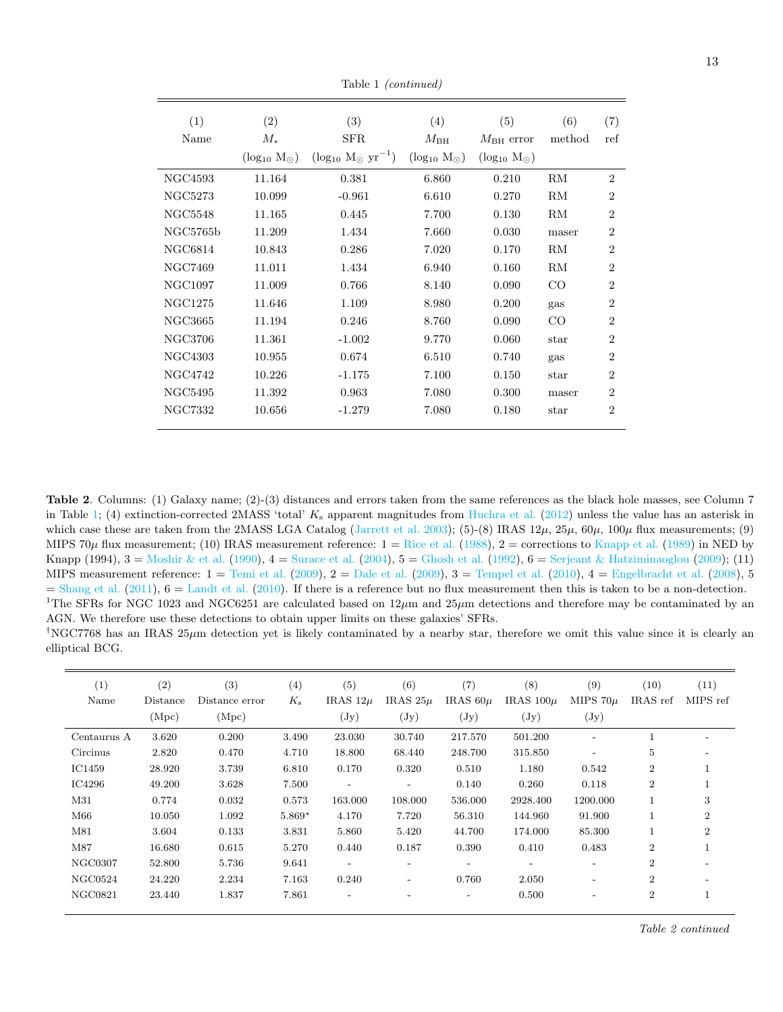| (1)            | (2)                     | (3)                             | (4)                     | (5)                     | (6)           | (7)            |
|----------------|-------------------------|---------------------------------|-------------------------|-------------------------|---------------|----------------|
| Name           | $M_*$                   | <b>SFR</b>                      | $M_{\rm BH}$            | $M_{\rm BH}$ error      | method        | ref            |
|                | $(\log_{10} M_{\odot})$ | $(\log_{10} M_{\odot} yr^{-1})$ | $(\log_{10} M_{\odot})$ | $(\log_{10} M_{\odot})$ |               |                |
| NGC4593        | 11.164                  | $\rm 0.381$                     | 6.860                   | 0.210                   | RM            | $\overline{2}$ |
| <b>NGC5273</b> | 10.099                  | $-0.961$                        | 6.610                   | 0.270                   | RM            | $\overline{2}$ |
| NGC5548        | 11.165                  | 0.445                           | 7.700                   | 0.130                   | RM            | $\overline{2}$ |
| NGC5765b       | 11.209                  | 1.434                           | 7.660                   | 0.030                   | maser         | $\overline{2}$ |
| NGC6814        | 10.843                  | 0.286                           | 7.020                   | 0.170                   | RM            | $\overline{2}$ |
| NGC7469        | 11.011                  | 1.434                           | 6.940                   | 0.160                   | RM            | $\overline{2}$ |
| NGC1097        | 11.009                  | 0.766                           | 8.140                   | 0.090                   | $_{\rm CO}$   | $\overline{2}$ |
| NGC1275        | 11.646                  | 1.109                           | 8.980                   | 0.200                   | gas           | $\overline{2}$ |
| NGC3665        | 11.194                  | 0.246                           | 8.760                   | 0.090                   | $_{\rm CO}$   | $\overline{2}$ |
| NGC3706        | 11.361                  | $-1.002$                        | 9.770                   | 0.060                   | star          | $\overline{2}$ |
| NGC4303        | 10.955                  | 0.674                           | 6.510                   | 0.740                   | gas           | $\overline{2}$ |
| NGC4742        | 10.226                  | $-1.175$                        | 7.100                   | 0.150                   | star          | $\overline{2}$ |
| <b>NGC5495</b> | 11.392                  | 0.963                           | 7.080                   | 0.300                   | maser         | $\overline{2}$ |
| NGC7332        | 10.656                  | $-1.279$                        | 7.080                   | 0.180                   | $_{\rm star}$ | $\overline{2}$ |
|                |                         |                                 |                         |                         |               |                |

Table 1 (continued)

Table 2. Columns: (1) Galaxy name; (2)-(3) distances and errors taken from the same references as the black hole masses, see Column 7 in Table [1;](#page-7-0) (4) extinction-corrected 2MASS 'total'  $K_s$  apparent magnitudes from [Huchra et al.](#page-8-27) [\(2012\)](#page-8-27) unless the value has an asterisk in which case these are taken from the 2MASS LGA Catalog [\(Jarrett et al.](#page-8-50) [2003\)](#page-8-50); (5)-(8) IRAS  $12\mu$ ,  $25\mu$ ,  $60\mu$ ,  $100\mu$  flux measurements; (9) MIPS 70 $\mu$  flux measurement; (10) IRAS measurement reference:  $1 = \text{Rice et al.}$  $1 = \text{Rice et al.}$  $1 = \text{Rice et al.}$  [\(1988\)](#page-9-17),  $2 =$  corrections to [Knapp et al.](#page-8-28) [\(1989\)](#page-8-28) in NED by Knapp (1994),  $3 =$  [Moshir & et al.](#page-9-18) [\(1990\)](#page-9-18),  $4 =$  [Surace et al.](#page-9-19) [\(2004\)](#page-9-19),  $5 =$  [Ghosh et al.](#page-8-51) [\(1992\)](#page-8-51),  $6 =$  [Serjeant & Hatziminaoglou](#page-9-20) [\(2009\)](#page-9-20); (11) MIPS measurement reference:  $1 = \text{Temi et al.} (2009), 2 = \text{Dale et al.} (2009), 3 = \text{Tempel et al.} (2010), 4 = \text{Engelbracht et al.} (2008), 5 = \text{Longel } (2000)$  $1 = \text{Temi et al.} (2009), 2 = \text{Dale et al.} (2009), 3 = \text{Tempel et al.} (2010), 4 = \text{Engelbracht et al.} (2008), 5 = \text{Longel } (2000)$  $1 = \text{Temi et al.} (2009), 2 = \text{Dale et al.} (2009), 3 = \text{Tempel et al.} (2010), 4 = \text{Engelbracht et al.} (2008), 5 = \text{Longel } (2000)$  $1 = \text{Temi et al.} (2009), 2 = \text{Dale et al.} (2009), 3 = \text{Tempel et al.} (2010), 4 = \text{Engelbracht et al.} (2008), 5 = \text{Longel } (2000)$  $1 = \text{Temi et al.} (2009), 2 = \text{Dale et al.} (2009), 3 = \text{Tempel et al.} (2010), 4 = \text{Engelbracht et al.} (2008), 5 = \text{Longel } (2000)$  $1 = \text{Temi et al.} (2009), 2 = \text{Dale et al.} (2009), 3 = \text{Tempel et al.} (2010), 4 = \text{Engelbracht et al.} (2008), 5 = \text{Longel } (2000)$  $1 = \text{Temi et al.} (2009), 2 = \text{Dale et al.} (2009), 3 = \text{Tempel et al.} (2010), 4 = \text{Engelbracht et al.} (2008), 5 = \text{Longel } (2000)$  $1 = \text{Temi et al.} (2009), 2 = \text{Dale et al.} (2009), 3 = \text{Tempel et al.} (2010), 4 = \text{Engelbracht et al.} (2008), 5 = \text{Longel } (2000)$  $1 = \text{Temi et al.} (2009), 2 = \text{Dale et al.} (2009), 3 = \text{Tempel et al.} (2010), 4 = \text{Engelbracht et al.} (2008), 5 = \text{Longel } (2000)$  $1 = \text{Temi et al.} (2009), 2 = \text{Dale et al.} (2009), 3 = \text{Tempel et al.} (2010), 4 = \text{Engelbracht et al.} (2008), 5 = \text{Longel } (2000)$  $1 = \text{Temi et al.} (2009), 2 = \text{Dale et al.} (2009), 3 = \text{Tempel et al.} (2010), 4 = \text{Engelbracht et al.} (2008), 5 = \text{Longel } (2000)$  $1 = \text{Temi et al.} (2009), 2 = \text{Dale et al.} (2009), 3 = \text{Tempel et al.} (2010), 4 = \text{Engelbracht et al.} (2008), 5 = \text{Longel } (2000)$  $1 = \text{Temi et al.} (2009), 2 = \text{Dale et al.} (2009), 3 = \text{Tempel et al.} (2010), 4 = \text{Engelbracht et al.} (2008), 5 = \text{Longel } (2000)$  $1 = \text{Temi et al.} (2009), 2 = \text{Dale et al.} (2009), 3 = \text{Tempel et al.} (2010), 4 = \text{Engelbracht et al.} (2008), 5 = \text{Longel } (2000)$  $1 = \text{Temi et al.} (2009), 2 = \text{Dale et al.} (2009), 3 = \text{Tempel et al.} (2010), 4 = \text{Engelbracht et al.} (2008), 5 = \text{Longel } (2000)$  $=$  [Shang et al.](#page-9-40) [\(2011\)](#page-9-40),  $6 =$  [Landt et al.](#page-9-41) [\(2010\)](#page-9-41). If there is a reference but no flux measurement then this is taken to be a non-detection. <sup>1</sup>The SFRs for NGC 1023 and NGC6251 are calculated based on  $12\mu$ m and  $25\mu$ m detections and therefore may be contaminated by an AGN. We therefore use these detections to obtain upper limits on these galaxies' SFRs.

<sup>†</sup>NGC7768 has an IRAS  $25\mu$ m detection yet is likely contaminated by a nearby star, therefore we omit this value since it is clearly an elliptical BCG.

| (1)<br>Name    | (2)<br>Distance | (3)<br>Distance error | (4)<br>$K_{\rm s}$ | (5)<br>IRAS $12\mu$ | (6)<br>IRAS $25\mu$      | (7)<br>IRAS $60\mu$      | (8)<br>IRAS $100\mu$     | (9)<br>MIPS $70\mu$      | (10)<br>IRAS ref | (11)<br>MIPS ref |
|----------------|-----------------|-----------------------|--------------------|---------------------|--------------------------|--------------------------|--------------------------|--------------------------|------------------|------------------|
|                | (Mpc)           | (Mpc)                 |                    | $(\mathrm{Jy})$     | $(\mathrm{Jy})$          | $(\mathrm{Jy})$          | $(\mathrm{Jy})$          | $(\mathrm{Jy})$          |                  |                  |
| Centaurus A    | 3.620           | 0.200                 | 3.490              | 23.030              | 30.740                   | 217.570                  | 501.200                  | $\overline{a}$           |                  |                  |
| Circinus       | 2.820           | 0.470                 | 4.710              | 18.800              | 68.440                   | 248.700                  | 315.850                  |                          | 5                |                  |
| IC1459         | 28.920          | 3.739                 | 6.810              | 0.170               | 0.320                    | 0.510                    | 1.180                    | 0.542                    | $\overline{2}$   |                  |
| IC4296         | 49.200          | 3.628                 | 7.500              |                     | $\overline{\phantom{a}}$ | 0.140                    | 0.260                    | 0.118                    | $\overline{2}$   |                  |
| M31            | 0.774           | 0.032                 | 0.573              | 163.000             | 108.000                  | 536.000                  | 2928.400                 | 1200.000                 |                  | 3                |
| M66            | 10.050          | 1.092                 | $5.869*$           | 4.170               | 7.720                    | 56.310                   | 144.960                  | 91.900                   |                  | $\overline{2}$   |
| M81            | 3.604           | 0.133                 | 3.831              | 5.860               | 5.420                    | 44.700                   | 174.000                  | 85.300                   |                  | $\overline{2}$   |
| M87            | 16.680          | 0.615                 | 5.270              | 0.440               | 0.187                    | 0.390                    | 0.410                    | 0.483                    | $\overline{2}$   |                  |
| NGC0307        | 52.800          | 5.736                 | 9.641              |                     | $\overline{\phantom{a}}$ | $\overline{\phantom{a}}$ | $\overline{\phantom{a}}$ | $\overline{\phantom{a}}$ | $\overline{2}$   |                  |
| NGC0524        | 24.220          | 2.234                 | 7.163              | 0.240               | $\overline{\phantom{a}}$ | 0.760                    | 2.050                    | $\overline{\phantom{0}}$ | $\overline{2}$   |                  |
| <b>NGC0821</b> | 23.440          | 1.837                 | 7.861              |                     | $\qquad \qquad$          | $\qquad \qquad -$        | 0.500                    | $\overline{\phantom{0}}$ | $\overline{2}$   |                  |

Table 2 continued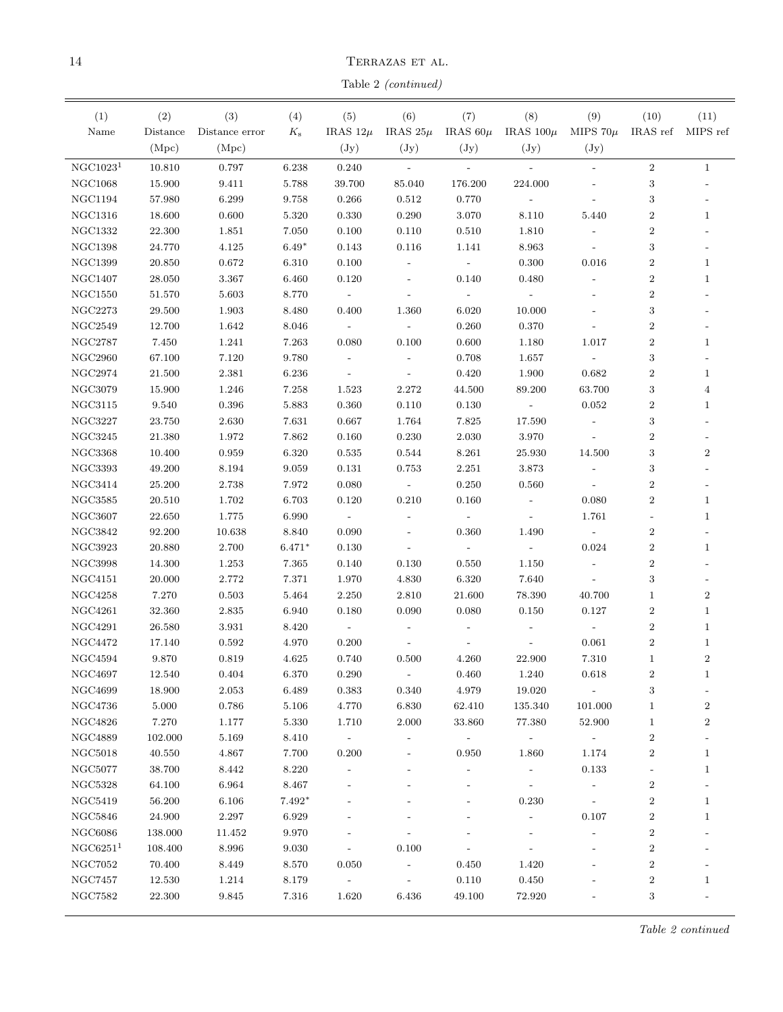${\rm TERRAZAS~ET~AL}.$ 

Table 2 (continued)

| (1)                  | (2)             | (3)            | (4)            | (5)                      | (6)                      | (7)                      | (8)                        | (9)                                 | (10)                     | (11)                             |
|----------------------|-----------------|----------------|----------------|--------------------------|--------------------------|--------------------------|----------------------------|-------------------------------------|--------------------------|----------------------------------|
| Name                 | Distance        | Distance error | $K_{\rm s}$    | IRAS $12\mu$             | IRAS $25\mu$             |                          | IRAS $60\mu$ IRAS $100\mu$ | MIPS $70\mu$                        | IRAS ref MIPS ref        |                                  |
|                      | (Mpc)           | (Mpc)          |                | $(\mathrm{Jy})$          | $(\mathrm{Jy})$          | $(\mathrm{Jy})$          | $(\mathrm{Jy})$            | $(\mathrm{Jy})$                     |                          |                                  |
| NGC1023 <sup>1</sup> | 10.810          | 0.797          | 6.238          | 0.240                    | $\sim$                   | $\mathbf{r}$             | $\mathcal{L}$              | $\frac{1}{2}$                       | $\,2$                    | $\mathbf{1}$                     |
| <b>NGC1068</b>       | 15.900          | 9.411          | 5.788          | 39.700                   | 85.040                   | 176.200                  | 224.000                    |                                     | $\,3$                    |                                  |
| <b>NGC1194</b>       | 57.980          | 6.299          | 9.758          | 0.266                    | 0.512                    | 0.770                    | $\overline{\phantom{a}}$   |                                     | 3                        |                                  |
| <b>NGC1316</b>       | 18.600          | 0.600          | 5.320          | 0.330                    | 0.290                    | 3.070                    | 8.110                      | 5.440                               | $\overline{2}$           | $\mathbf{1}$                     |
| <b>NGC1332</b>       | 22.300          | 1.851          | 7.050          | 0.100                    | 0.110                    | 0.510                    | 1.810                      |                                     | $\boldsymbol{2}$         |                                  |
| <b>NGC1398</b>       | 24.770          | 4.125          | $6.49*$        | 0.143                    | 0.116                    | 1.141                    | 8.963                      |                                     | 3                        |                                  |
| NGC1399              | 20.850          | 0.672          | 6.310          | 0.100                    |                          |                          | 0.300                      | 0.016                               | $\boldsymbol{2}$         | $\mathbf 1$                      |
| <b>NGC1407</b>       | 28.050          | 3.367          | 6.460          | 0.120                    |                          | 0.140                    | 0.480                      |                                     | $\boldsymbol{2}$         | $\mathbf{1}$                     |
| <b>NGC1550</b>       | 51.570          | 5.603          | 8.770          | $\overline{\phantom{a}}$ |                          |                          |                            |                                     | $\boldsymbol{2}$         |                                  |
| <b>NGC2273</b>       | 29.500          | 1.903          | 8.480          | 0.400                    | 1.360                    | 6.020                    | 10.000                     |                                     | 3                        |                                  |
| <b>NGC2549</b>       | 12.700          | 1.642          | 8.046          | $\overline{\phantom{a}}$ | $\overline{\phantom{a}}$ | 0.260                    | 0.370                      |                                     | $\overline{2}$           |                                  |
| <b>NGC2787</b>       | 7.450           | 1.241          | 7.263          | 0.080                    | 0.100                    | 0.600                    | 1.180                      | 1.017                               | $\overline{2}$           | $\mathbf{1}$                     |
| <b>NGC2960</b>       | 67.100          | 7.120          | 9.780          | $\overline{\phantom{a}}$ |                          | 0.708                    | 1.657                      | $\mathcal{L}_{\mathcal{A}}$         | 3                        |                                  |
| NGC2974              | 21.500          | 2.381          | 6.236          | $\overline{\phantom{a}}$ | $\blacksquare$           | 0.420                    | 1.900                      | 0.682                               | $\overline{2}$           | $\mathbf 1$                      |
| <b>NGC3079</b>       | 15.900          | 1.246          | 7.258          | 1.523                    | 2.272                    | 44.500                   | 89.200                     | 63.700                              | 3                        | $\overline{4}$                   |
| <b>NGC3115</b>       | 9.540           | 0.396          | 5.883          | 0.360                    | 0.110                    | 0.130                    | $\sim$ $-$                 | 0.052                               | $\boldsymbol{2}$         | $\,1$                            |
| <b>NGC3227</b>       | 23.750          | 2.630          | 7.631          | 0.667                    | 1.764                    | 7.825                    | 17.590                     | $\overline{\phantom{a}}$            | 3                        |                                  |
| NGC3245              | 21.380          | 1.972          | 7.862          | 0.160                    | 0.230                    | 2.030                    | 3.970                      | $\blacksquare$                      | $\boldsymbol{2}$         |                                  |
| NGC3368              | 10.400          | 0.959          | 6.320          | 0.535                    | 0.544                    | 8.261                    | 25.930                     | 14.500                              | 3                        | $\overline{2}$                   |
| <b>NGC3393</b>       | 49.200          | 8.194          | 9.059          | 0.131                    | 0.753                    | 2.251                    | 3.873                      | $\overline{\phantom{a}}$            | $\,3$                    |                                  |
| NGC3414              | 25.200          | 2.738          | 7.972          | 0.080                    | $\sim$                   | 0.250                    | 0.560                      |                                     | $\boldsymbol{2}$         |                                  |
| NGC3585              | 20.510          | 1.702          | 6.703          | 0.120                    | 0.210                    | 0.160                    |                            | 0.080                               | $\overline{2}$           | $\mathbf{1}$                     |
| NGC3607              | 22.650          | 1.775          | 6.990          | $\overline{\phantom{a}}$ |                          |                          |                            | 1.761                               |                          | $\mathbf 1$                      |
| NGC3842              | 92.200          | 10.638         | 8.840          | 0.090                    |                          | 0.360                    | 1.490                      |                                     | $\boldsymbol{2}$         |                                  |
| NGC3923              | 20.880          | 2.700          | $6.471*$       | 0.130                    |                          | $\overline{\phantom{a}}$ |                            | 0.024                               | $\boldsymbol{2}$         | $\mathbf{1}$                     |
| NGC3998              | 14.300          | 1.253          | 7.365          | 0.140                    | 0.130                    | 0.550                    | 1.150                      | $\overline{\phantom{a}}$            | $\boldsymbol{2}$         |                                  |
| NGC4151              | 20.000          | 2.772          | 7.371          | 1.970                    | 4.830                    | 6.320                    | 7.640                      | $\blacksquare$                      | 3                        |                                  |
| NGC4258              | 7.270           | 0.503          | 5.464          | 2.250                    | 2.810                    | 21.600                   | 78.390                     | 40.700                              | $\mathbf{1}$             | $\boldsymbol{2}$                 |
| <b>NGC4261</b>       | 32.360          | 2.835          | 6.940          | 0.180                    | 0.090                    | 0.080                    | 0.150                      | 0.127                               | $\boldsymbol{2}$         | $\mathbf 1$                      |
| <b>NGC4291</b>       | 26.580          | 3.931          | 8.420          | $\sim$ $-$               |                          | $\overline{\phantom{a}}$ |                            | $\overline{\phantom{a}}$            | $\boldsymbol{2}$         | $\mathbf{1}$                     |
| <b>NGC4472</b>       |                 | 0.592          | 4.970          | 0.200                    |                          |                          |                            | 0.061                               | $\boldsymbol{2}$         |                                  |
| <b>NGC4594</b>       | 17.140          | 0.819          | 4.625          | 0.740                    | 0.500                    |                          | 22.900                     | 7.310                               | $\mathbf{1}$             | $\mathbf{1}$<br>$\boldsymbol{2}$ |
|                      | 9.870           |                |                |                          |                          | 4.260                    |                            |                                     |                          |                                  |
| $\rm NGC4697$        | 12.540          | 0.404          | $6.370\,$      | $0.290\,$                | $\sim$ $-$               | $0.460\,$                | $1.240\,$                  | 0.618                               | $\,2$                    | 1                                |
| NGC4699<br>NGC4736   | 18.900<br>5.000 | 2.053          | 6.489<br>5.106 | 0.383<br>4.770           | 0.340                    | 4.979                    | 19.020<br>135.340          | $\overline{\phantom{a}}$<br>101.000 | 3<br>$\mathbf{1}$        |                                  |
| <b>NGC4826</b>       |                 | 0.786          |                |                          | 6.830                    | 62.410                   |                            |                                     |                          | $\boldsymbol{2}$                 |
|                      | 7.270           | 1.177          | 5.330          | 1.710                    | 2.000                    | 33.860                   | 77.380                     | 52.900                              | $\mathbf{1}$             | $\boldsymbol{2}$                 |
| NGC4889              | 102.000         | 5.169          | 8.410          | $\overline{\phantom{a}}$ |                          |                          |                            |                                     | $\overline{2}$           |                                  |
| <b>NGC5018</b>       | 40.550          | 4.867          | 7.700          | 0.200                    |                          | 0.950                    | 1.860                      | 1.174                               | $\boldsymbol{2}$         | $\mathbf 1$                      |
| <b>NGC5077</b>       | 38.700          | 8.442          | 8.220          |                          |                          |                          |                            | 0.133                               | $\overline{\phantom{0}}$ | $\mathbf{1}$                     |
| <b>NGC5328</b>       | 64.100          | 6.964          | 8.467          |                          |                          |                          |                            |                                     | $\boldsymbol{2}$         |                                  |
| NGC5419              | 56.200          | 6.106          | $7.492*$       |                          |                          |                          | 0.230                      | $\overline{\phantom{a}}$            | $\,2$                    | $\mathbf{1}$                     |
| NGC5846              | 24.900          | 2.297          | 6.929          |                          |                          |                          | $\overline{\phantom{a}}$   | 0.107                               | $\boldsymbol{2}$         | $\mathbf{1}$                     |
| <b>NGC6086</b>       | 138.000         | 11.452         | 9.970          |                          |                          |                          |                            | $\overline{\phantom{a}}$            | $\boldsymbol{2}$         |                                  |
| NGC6251 <sup>1</sup> | 108.400         | 8.996          | 9.030          | $\overline{\phantom{a}}$ | 0.100                    | $\overline{\phantom{a}}$ | $\overline{\phantom{a}}$   |                                     | $\boldsymbol{2}$         |                                  |
| <b>NGC7052</b>       | 70.400          | 8.449          | 8.570          | 0.050                    | $\overline{\phantom{a}}$ | 0.450                    | 1.420                      |                                     | $\boldsymbol{2}$         |                                  |
| NGC7457              | 12.530          | 1.214          | 8.179          | $\sim$                   | $\overline{\phantom{a}}$ | 0.110                    | 0.450                      |                                     | $\,2$                    | $\mathbf{1}$                     |
| <b>NGC7582</b>       | 22.300          | 9.845          | 7.316          | 1.620                    | 6.436                    | 49.100                   | 72.920                     |                                     | 3                        |                                  |

Table 2 continued